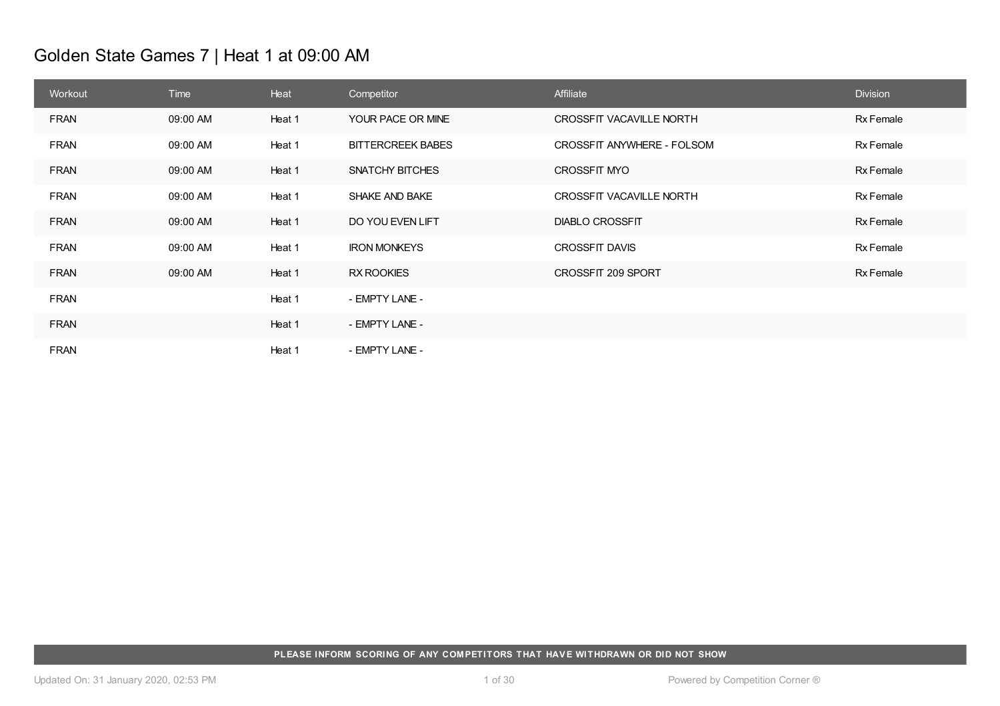# Golden State Games 7 | Heat 1 at 09:00 AM

| Workout     | <b>Time</b> | Heat   | Competitor               | Affiliate                  | <b>Division</b> |
|-------------|-------------|--------|--------------------------|----------------------------|-----------------|
| <b>FRAN</b> | 09:00 AM    | Heat 1 | YOUR PACE OR MINE        | CROSSFIT VACAVILLE NORTH   | Rx Female       |
| <b>FRAN</b> | 09:00 AM    | Heat 1 | <b>BITTERCREEK BABES</b> | CROSSFIT ANYWHERE - FOLSOM | Rx Female       |
| <b>FRAN</b> | 09:00 AM    | Heat 1 | SNATCHY BITCHES          | <b>CROSSFIT MYO</b>        | Rx Female       |
| <b>FRAN</b> | 09:00 AM    | Heat 1 | <b>SHAKE AND BAKE</b>    | CROSSFIT VACAVILLE NORTH   | Rx Female       |
| <b>FRAN</b> | 09:00 AM    | Heat 1 | DO YOU EVEN LIFT         | <b>DIABLO CROSSFIT</b>     | Rx Female       |
| <b>FRAN</b> | 09:00 AM    | Heat 1 | <b>IRON MONKEYS</b>      | <b>CROSSFIT DAVIS</b>      | Rx Female       |
| <b>FRAN</b> | 09:00 AM    | Heat 1 | <b>RX ROOKIES</b>        | CROSSFIT 209 SPORT         | Rx Female       |
| <b>FRAN</b> |             | Heat 1 | - EMPTY LANE -           |                            |                 |
| <b>FRAN</b> |             | Heat 1 | - EMPTY LANE -           |                            |                 |
| <b>FRAN</b> |             | Heat 1 | - EMPTY LANE -           |                            |                 |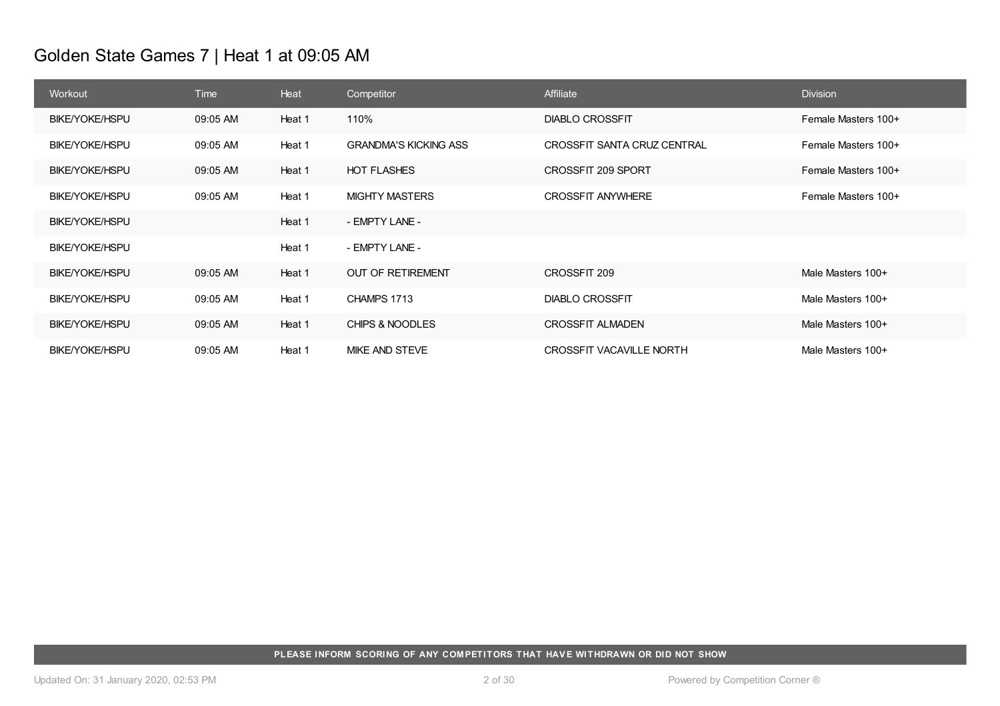# Golden State Games 7 | Heat 1 at 09:05 AM

| Workout               | <b>Time</b> | Heat   | Competitor                   | Affiliate                       | <b>Division</b>     |
|-----------------------|-------------|--------|------------------------------|---------------------------------|---------------------|
| <b>BIKE/YOKE/HSPU</b> | 09:05 AM    | Heat 1 | 110%                         | <b>DIABLO CROSSFIT</b>          | Female Masters 100+ |
| BIKE/YOKE/HSPU        | 09:05 AM    | Heat 1 | <b>GRANDMA'S KICKING ASS</b> | CROSSFIT SANTA CRUZ CENTRAL     | Female Masters 100+ |
| <b>BIKE/YOKE/HSPU</b> | 09:05 AM    | Heat 1 | <b>HOT FLASHES</b>           | CROSSFIT 209 SPORT              | Female Masters 100+ |
| BIKE/YOKE/HSPU        | 09:05 AM    | Heat 1 | <b>MIGHTY MASTERS</b>        | <b>CROSSFIT ANYWHERE</b>        | Female Masters 100+ |
| <b>BIKE/YOKE/HSPU</b> |             | Heat 1 | - EMPTY LANE -               |                                 |                     |
| <b>BIKE/YOKE/HSPU</b> |             | Heat 1 | - EMPTY LANE -               |                                 |                     |
| <b>BIKE/YOKE/HSPU</b> | 09:05 AM    | Heat 1 | <b>OUT OF RETIREMENT</b>     | CROSSFIT 209                    | Male Masters 100+   |
| <b>BIKE/YOKE/HSPU</b> | 09:05 AM    | Heat 1 | CHAMPS 1713                  | <b>DIABLO CROSSFIT</b>          | Male Masters 100+   |
| <b>BIKE/YOKE/HSPU</b> | 09:05 AM    | Heat 1 | CHIPS & NOODLES              | <b>CROSSFIT ALMADEN</b>         | Male Masters 100+   |
| <b>BIKE/YOKE/HSPU</b> | 09:05 AM    | Heat 1 | MIKE AND STEVE               | <b>CROSSFIT VACAVILLE NORTH</b> | Male Masters 100+   |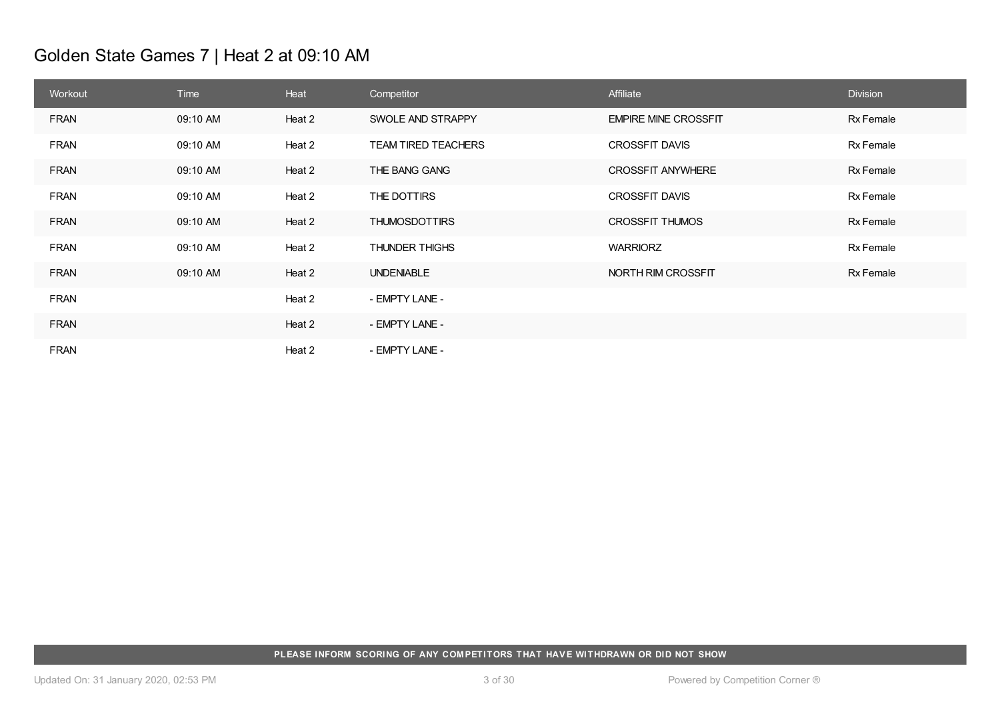# Golden State Games 7 | Heat 2 at 09:10 AM

| Workout     | Time     | Heat   | Competitor                 | Affiliate                   | <b>Division</b> |
|-------------|----------|--------|----------------------------|-----------------------------|-----------------|
| <b>FRAN</b> | 09:10 AM | Heat 2 | SWOLE AND STRAPPY          | <b>EMPIRE MINE CROSSFIT</b> | Rx Female       |
| <b>FRAN</b> | 09:10 AM | Heat 2 | <b>TEAM TIRED TEACHERS</b> | <b>CROSSFIT DAVIS</b>       | Rx Female       |
| FRAN        | 09:10 AM | Heat 2 | THE BANG GANG              | <b>CROSSFIT ANYWHERE</b>    | Rx Female       |
| <b>FRAN</b> | 09:10 AM | Heat 2 | THE DOTTIRS                | <b>CROSSFIT DAVIS</b>       | Rx Female       |
| <b>FRAN</b> | 09:10 AM | Heat 2 | <b>THUMOSDOTTIRS</b>       | <b>CROSSFIT THUMOS</b>      | Rx Female       |
| <b>FRAN</b> | 09:10 AM | Heat 2 | THUNDER THIGHS             | <b>WARRIORZ</b>             | Rx Female       |
| <b>FRAN</b> | 09:10 AM | Heat 2 | <b>UNDENIABLE</b>          | NORTH RIM CROSSFIT          | Rx Female       |
| <b>FRAN</b> |          | Heat 2 | - EMPTY LANE -             |                             |                 |
| <b>FRAN</b> |          | Heat 2 | - EMPTY LANE -             |                             |                 |
| <b>FRAN</b> |          | Heat 2 | - EMPTY LANE -             |                             |                 |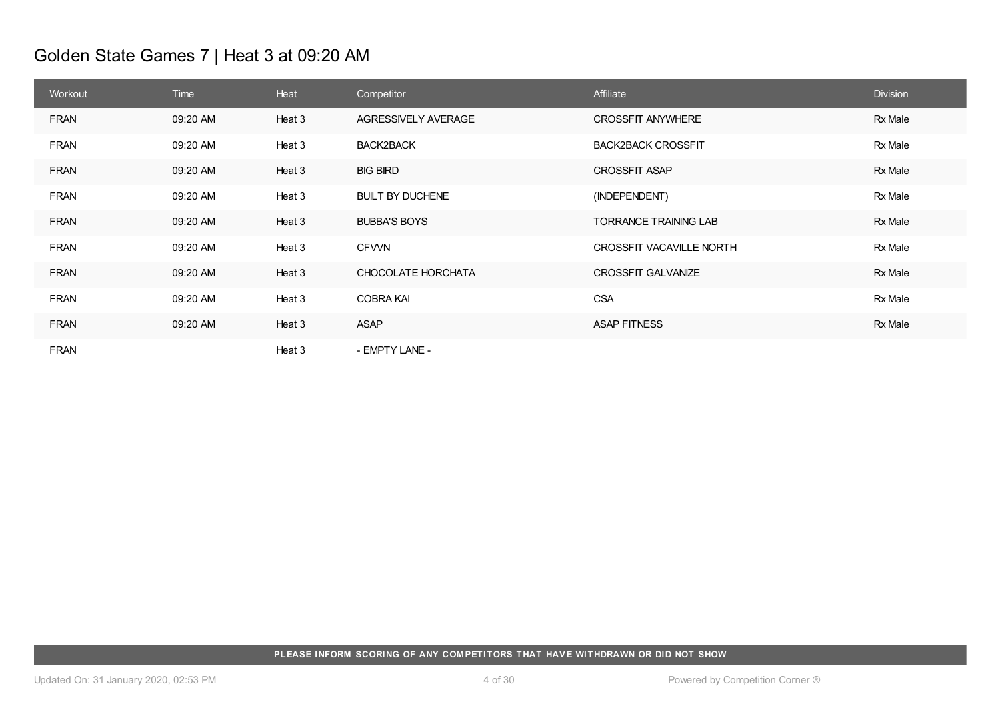# Golden State Games 7 | Heat 3 at 09:20 AM

| Workout     | Time     | Heat   | Competitor              | Affiliate                       | <b>Division</b> |
|-------------|----------|--------|-------------------------|---------------------------------|-----------------|
| <b>FRAN</b> | 09:20 AM | Heat 3 | AGRESSIVELY AVERAGE     | <b>CROSSFIT ANYWHERE</b>        | Rx Male         |
| <b>FRAN</b> | 09:20 AM | Heat 3 | BACK2BACK               | <b>BACK2BACK CROSSFIT</b>       | Rx Male         |
| <b>FRAN</b> | 09:20 AM | Heat 3 | <b>BIG BIRD</b>         | <b>CROSSFIT ASAP</b>            | Rx Male         |
| <b>FRAN</b> | 09:20 AM | Heat 3 | <b>BUILT BY DUCHENE</b> | (INDEPENDENT)                   | Rx Male         |
| <b>FRAN</b> | 09:20 AM | Heat 3 | <b>BUBBA'S BOYS</b>     | <b>TORRANCE TRAINING LAB</b>    | Rx Male         |
| <b>FRAN</b> | 09:20 AM | Heat 3 | <b>CFVVN</b>            | <b>CROSSFIT VACAVILLE NORTH</b> | Rx Male         |
| <b>FRAN</b> | 09:20 AM | Heat 3 | CHOCOLATE HORCHATA      | <b>CROSSFIT GALVANIZE</b>       | Rx Male         |
| <b>FRAN</b> | 09:20 AM | Heat 3 | <b>COBRA KAI</b>        | <b>CSA</b>                      | Rx Male         |
| <b>FRAN</b> | 09:20 AM | Heat 3 | <b>ASAP</b>             | <b>ASAP FITNESS</b>             | Rx Male         |
| <b>FRAN</b> |          | Heat 3 | - EMPTY LANE -          |                                 |                 |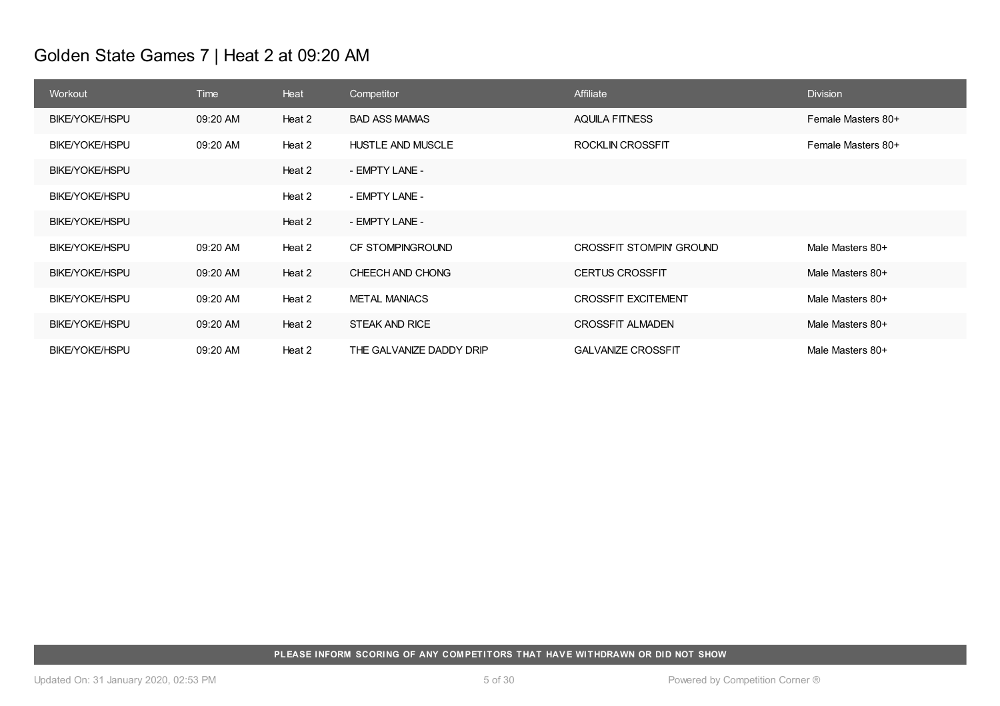# Golden State Games 7 | Heat 2 at 09:20 AM

| Workout               | Time     | Heat   | Competitor               | Affiliate                       | <b>Division</b>    |
|-----------------------|----------|--------|--------------------------|---------------------------------|--------------------|
| <b>BIKE/YOKE/HSPU</b> | 09:20 AM | Heat 2 | <b>BAD ASS MAMAS</b>     | <b>AQUILA FITNESS</b>           | Female Masters 80+ |
| <b>BIKE/YOKE/HSPU</b> | 09:20 AM | Heat 2 | HUSTLE AND MUSCLE        | ROCKLIN CROSSFIT                | Female Masters 80+ |
| <b>BIKE/YOKE/HSPU</b> |          | Heat 2 | - EMPTY LANE -           |                                 |                    |
| <b>BIKE/YOKE/HSPU</b> |          | Heat 2 | - EMPTY LANE -           |                                 |                    |
| <b>BIKE/YOKE/HSPU</b> |          | Heat 2 | - EMPTY LANE -           |                                 |                    |
| BIKE/YOKE/HSPU        | 09:20 AM | Heat 2 | CF STOMPINGROUND         | <b>CROSSFIT STOMPIN' GROUND</b> | Male Masters 80+   |
| <b>BIKE/YOKE/HSPU</b> | 09:20 AM | Heat 2 | CHEECH AND CHONG         | <b>CERTUS CROSSFIT</b>          | Male Masters 80+   |
| <b>BIKE/YOKE/HSPU</b> | 09:20 AM | Heat 2 | <b>METAL MANIACS</b>     | <b>CROSSFIT EXCITEMENT</b>      | Male Masters 80+   |
| <b>BIKE/YOKE/HSPU</b> | 09:20 AM | Heat 2 | <b>STEAK AND RICE</b>    | <b>CROSSFIT ALMADEN</b>         | Male Masters 80+   |
| <b>BIKE/YOKE/HSPU</b> | 09:20 AM | Heat 2 | THE GALVANIZE DADDY DRIP | <b>GALVANIZE CROSSFIT</b>       | Male Masters 80+   |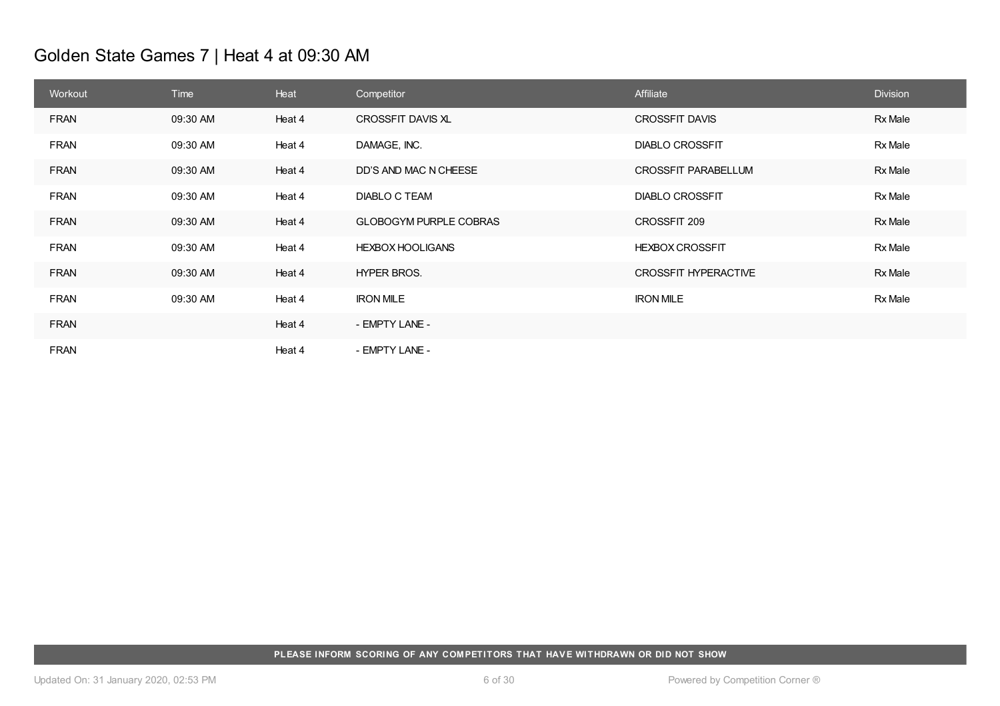# Golden State Games 7 | Heat 4 at 09:30 AM

| Workout     | Time     | Heat   | Competitor                    | Affiliate                   | <b>Division</b> |
|-------------|----------|--------|-------------------------------|-----------------------------|-----------------|
| <b>FRAN</b> | 09:30 AM | Heat 4 | CROSSFIT DAVIS XL             | <b>CROSSFIT DAVIS</b>       | Rx Male         |
| <b>FRAN</b> | 09:30 AM | Heat 4 | DAMAGE, INC.                  | <b>DIABLO CROSSFIT</b>      | Rx Male         |
| <b>FRAN</b> | 09:30 AM | Heat 4 | DD'S AND MAC N CHEESE         | CROSSFIT PARABELLUM         | <b>Rx Male</b>  |
| <b>FRAN</b> | 09:30 AM | Heat 4 | DIABLO C TEAM                 | <b>DIABLO CROSSFIT</b>      | Rx Male         |
| <b>FRAN</b> | 09:30 AM | Heat 4 | <b>GLOBOGYM PURPLE COBRAS</b> | CROSSFIT 209                | <b>Rx Male</b>  |
| <b>FRAN</b> | 09:30 AM | Heat 4 | <b>HEXBOX HOOLIGANS</b>       | <b>HEXBOX CROSSFIT</b>      | <b>Rx Male</b>  |
| <b>FRAN</b> | 09:30 AM | Heat 4 | <b>HYPER BROS.</b>            | <b>CROSSFIT HYPERACTIVE</b> | <b>Rx Male</b>  |
| <b>FRAN</b> | 09:30 AM | Heat 4 | <b>IRON MILE</b>              | <b>IRON MILE</b>            | <b>Rx Male</b>  |
| <b>FRAN</b> |          | Heat 4 | - EMPTY LANE -                |                             |                 |
| <b>FRAN</b> |          | Heat 4 | - EMPTY LANE -                |                             |                 |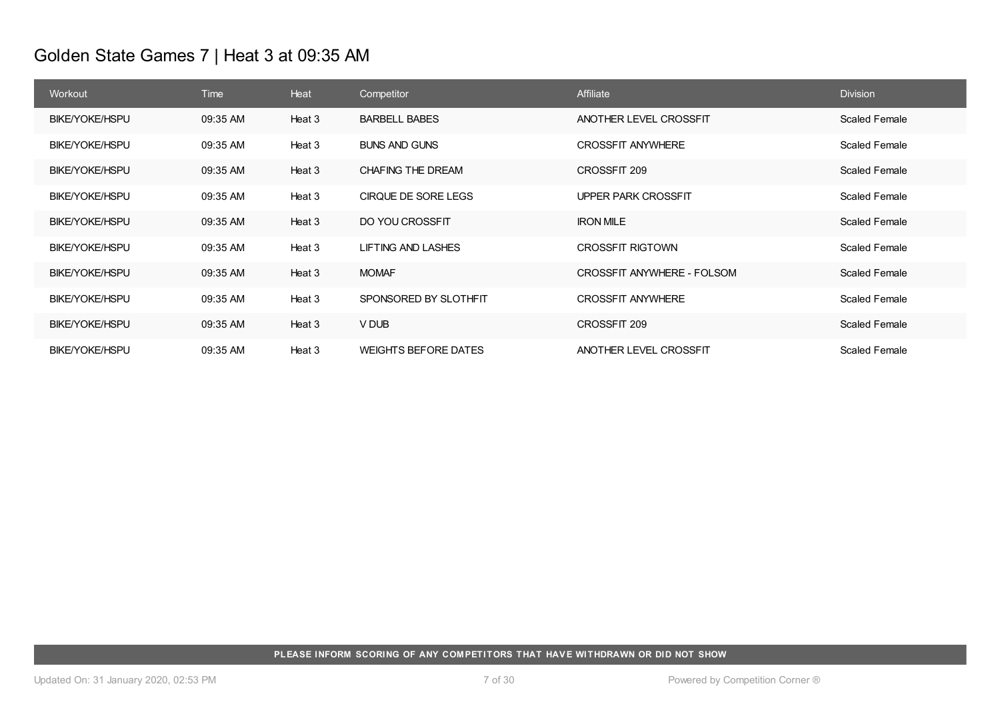# Golden State Games 7 | Heat 3 at 09:35 AM

| Workout               | <b>Time</b> | Heat   | Competitor                  | Affiliate                  | <b>Division</b>      |
|-----------------------|-------------|--------|-----------------------------|----------------------------|----------------------|
| <b>BIKE/YOKE/HSPU</b> | 09:35 AM    | Heat 3 | <b>BARBELL BABES</b>        | ANOTHER LEVEL CROSSFIT     | <b>Scaled Female</b> |
| BIKE/YOKE/HSPU        | 09:35 AM    | Heat 3 | <b>BUNS AND GUNS</b>        | <b>CROSSFIT ANYWHERE</b>   | <b>Scaled Female</b> |
| <b>BIKE/YOKE/HSPU</b> | 09:35 AM    | Heat 3 | CHAFING THE DREAM           | CROSSFIT 209               | <b>Scaled Female</b> |
| <b>BIKE/YOKE/HSPU</b> | 09:35 AM    | Heat 3 | CIRQUE DE SORE LEGS         | UPPER PARK CROSSFIT        | <b>Scaled Female</b> |
| <b>BIKE/YOKE/HSPU</b> | 09:35 AM    | Heat 3 | DO YOU CROSSFIT             | <b>IRON MILE</b>           | <b>Scaled Female</b> |
| <b>BIKE/YOKE/HSPU</b> | 09:35 AM    | Heat 3 | <b>LIFTING AND LASHES</b>   | <b>CROSSFIT RIGTOWN</b>    | Scaled Female        |
| <b>BIKE/YOKE/HSPU</b> | 09:35 AM    | Heat 3 | <b>MOMAF</b>                | CROSSFIT ANYWHERE - FOLSOM | <b>Scaled Female</b> |
| <b>BIKE/YOKE/HSPU</b> | 09:35 AM    | Heat 3 | SPONSORED BY SLOTHFIT       | <b>CROSSFIT ANYWHERE</b>   | <b>Scaled Female</b> |
| BIKE/YOKE/HSPU        | 09:35 AM    | Heat 3 | V DUB                       | CROSSFIT 209               | <b>Scaled Female</b> |
| <b>BIKE/YOKE/HSPU</b> | 09:35 AM    | Heat 3 | <b>WEIGHTS BEFORE DATES</b> | ANOTHER LEVEL CROSSFIT     | <b>Scaled Female</b> |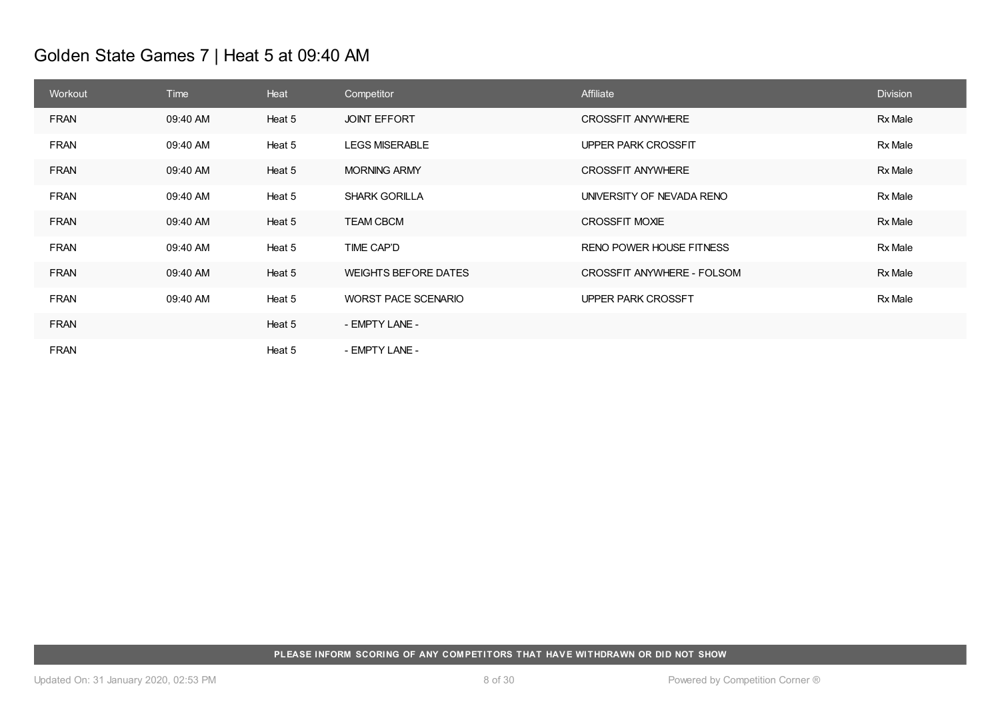# Golden State Games 7 | Heat 5 at 09:40 AM

| Workout     | Time     | Heat   | Competitor                  | Affiliate                  | <b>Division</b> |
|-------------|----------|--------|-----------------------------|----------------------------|-----------------|
| <b>FRAN</b> | 09:40 AM | Heat 5 | <b>JOINT EFFORT</b>         | <b>CROSSFIT ANYWHERE</b>   | Rx Male         |
| <b>FRAN</b> | 09:40 AM | Heat 5 | <b>LEGS MISERABLE</b>       | UPPER PARK CROSSFIT        | Rx Male         |
| <b>FRAN</b> | 09:40 AM | Heat 5 | <b>MORNING ARMY</b>         | <b>CROSSFIT ANYWHERE</b>   | Rx Male         |
| <b>FRAN</b> | 09:40 AM | Heat 5 | <b>SHARK GORILLA</b>        | UNIVERSITY OF NEVADA RENO  | Rx Male         |
| <b>FRAN</b> | 09:40 AM | Heat 5 | <b>TEAM CBCM</b>            | <b>CROSSFIT MOXIE</b>      | Rx Male         |
| <b>FRAN</b> | 09:40 AM | Heat 5 | TIME CAP'D                  | RENO POWER HOUSE FITNESS   | Rx Male         |
| <b>FRAN</b> | 09:40 AM | Heat 5 | <b>WEIGHTS BEFORE DATES</b> | CROSSFIT ANYWHERE - FOLSOM | Rx Male         |
| <b>FRAN</b> | 09:40 AM | Heat 5 | <b>WORST PACE SCENARIO</b>  | <b>UPPER PARK CROSSFT</b>  | Rx Male         |
| <b>FRAN</b> |          | Heat 5 | - EMPTY LANE -              |                            |                 |
| <b>FRAN</b> |          | Heat 5 | - EMPTY LANE -              |                            |                 |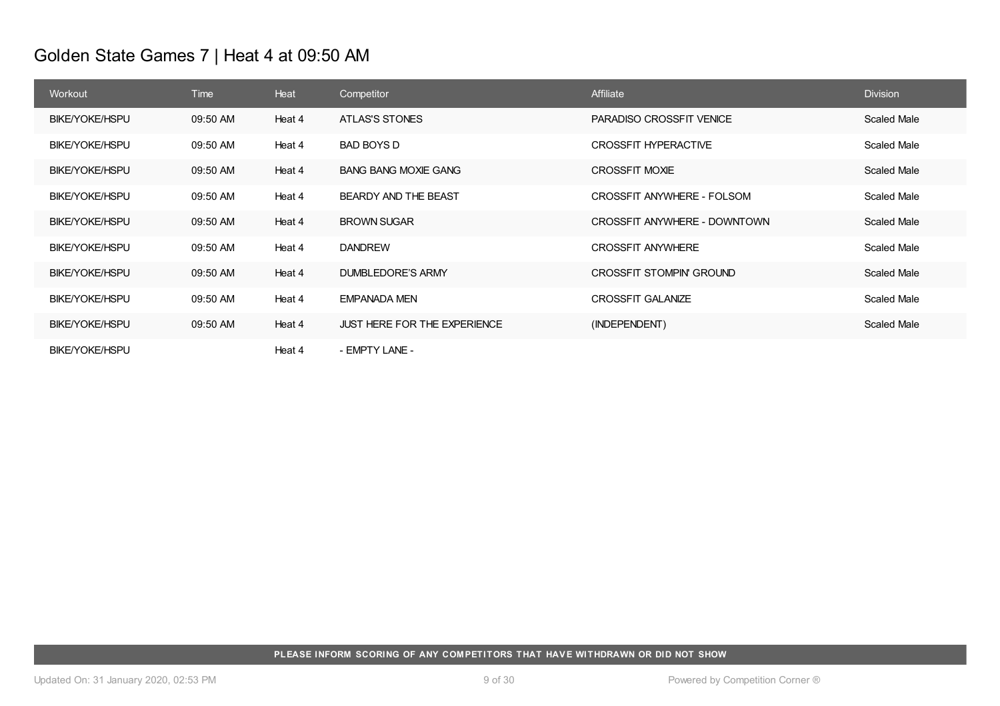# Golden State Games 7 | Heat 4 at 09:50 AM

| Workout               | <b>Time</b> | Heat   | Competitor                          | Affiliate                       | <b>Division</b> |
|-----------------------|-------------|--------|-------------------------------------|---------------------------------|-----------------|
| <b>BIKE/YOKE/HSPU</b> | 09:50 AM    | Heat 4 | <b>ATLAS'S STONES</b>               | <b>PARADISO CROSSFIT VENICE</b> | Scaled Male     |
| <b>BIKE/YOKE/HSPU</b> | 09:50 AM    | Heat 4 | BAD BOYS D                          | CROSSFIT HYPERACTIVE            | Scaled Male     |
| BIKE/YOKE/HSPU        | 09:50 AM    | Heat 4 | <b>BANG BANG MOXIE GANG</b>         | <b>CROSSFIT MOXIE</b>           | Scaled Male     |
| <b>BIKE/YOKE/HSPU</b> | 09:50 AM    | Heat 4 | BEARDY AND THE BEAST                | CROSSFIT ANYWHERE - FOLSOM      | Scaled Male     |
| BIKE/YOKE/HSPU        | 09:50 AM    | Heat 4 | <b>BROWN SUGAR</b>                  | CROSSFIT ANYWHERE - DOWNTOWN    | Scaled Male     |
| <b>BIKE/YOKE/HSPU</b> | 09:50 AM    | Heat 4 | <b>DANDREW</b>                      | <b>CROSSFIT ANYWHERE</b>        | Scaled Male     |
| BIKE/YOKE/HSPU        | 09:50 AM    | Heat 4 | <b>DUMBLEDORE'S ARMY</b>            | <b>CROSSFIT STOMPIN' GROUND</b> | Scaled Male     |
| <b>BIKE/YOKE/HSPU</b> | 09:50 AM    | Heat 4 | <b>EMPANADA MEN</b>                 | <b>CROSSFIT GALANIZE</b>        | Scaled Male     |
| <b>BIKE/YOKE/HSPU</b> | 09:50 AM    | Heat 4 | <b>JUST HERE FOR THE EXPERIENCE</b> | (INDEPENDENT)                   | Scaled Male     |
| <b>BIKE/YOKE/HSPU</b> |             | Heat 4 | - EMPTY LANE -                      |                                 |                 |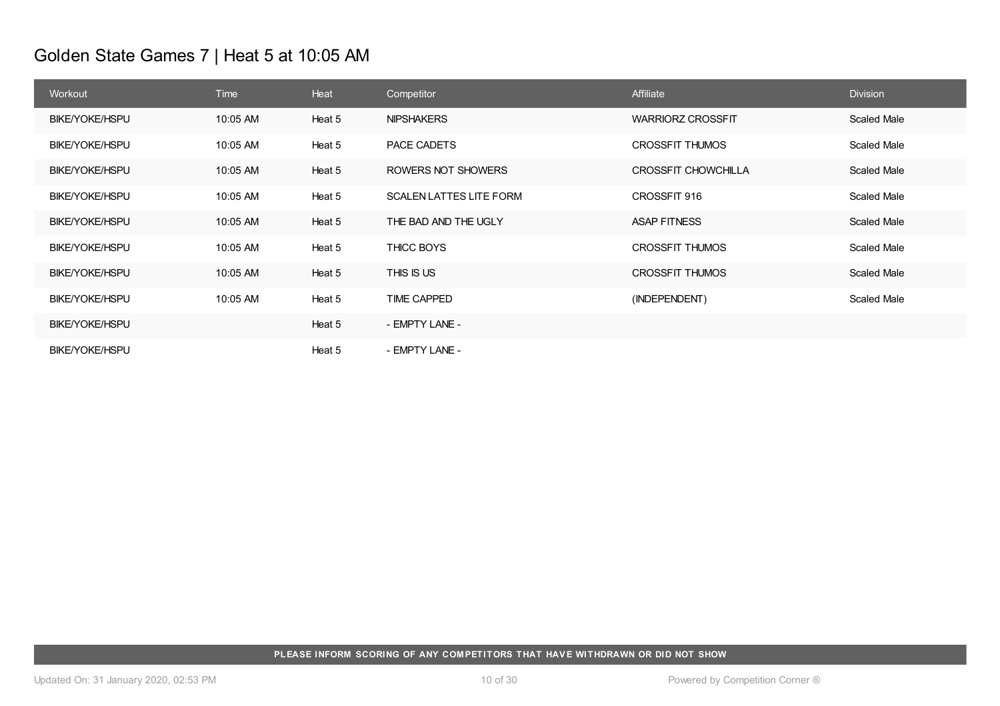# Golden State Games 7 | Heat 5 at 10:05 AM

| Workout               | <b>Time</b> | Heat   | Competitor                     | Affiliate                  | <b>Division</b>    |
|-----------------------|-------------|--------|--------------------------------|----------------------------|--------------------|
| <b>BIKE/YOKE/HSPU</b> | 10:05 AM    | Heat 5 | <b>NIPSHAKERS</b>              | <b>WARRIORZ CROSSFIT</b>   | <b>Scaled Male</b> |
| <b>BIKE/YOKE/HSPU</b> | 10:05 AM    | Heat 5 | PACE CADETS                    | <b>CROSSFIT THUMOS</b>     | Scaled Male        |
| <b>BIKE/YOKE/HSPU</b> | 10:05 AM    | Heat 5 | ROWERS NOT SHOWERS             | <b>CROSSFIT CHOWCHILLA</b> | Scaled Male        |
| <b>BIKE/YOKE/HSPU</b> | 10:05 AM    | Heat 5 | <b>SCALEN LATTES LITE FORM</b> | CROSSFIT 916               | Scaled Male        |
| <b>BIKE/YOKE/HSPU</b> | 10:05 AM    | Heat 5 | THE BAD AND THE UGLY           | <b>ASAP FITNESS</b>        | <b>Scaled Male</b> |
| <b>BIKE/YOKE/HSPU</b> | 10:05 AM    | Heat 5 | THICC BOYS                     | <b>CROSSFIT THUMOS</b>     | Scaled Male        |
| <b>BIKE/YOKE/HSPU</b> | 10:05 AM    | Heat 5 | THIS IS US                     | <b>CROSSFIT THUMOS</b>     | <b>Scaled Male</b> |
| <b>BIKE/YOKE/HSPU</b> | 10:05 AM    | Heat 5 | <b>TIME CAPPED</b>             | (INDEPENDENT)              | Scaled Male        |
| <b>BIKE/YOKE/HSPU</b> |             | Heat 5 | - EMPTY LANE -                 |                            |                    |
| <b>BIKE/YOKE/HSPU</b> |             | Heat 5 | - EMPTY LANE -                 |                            |                    |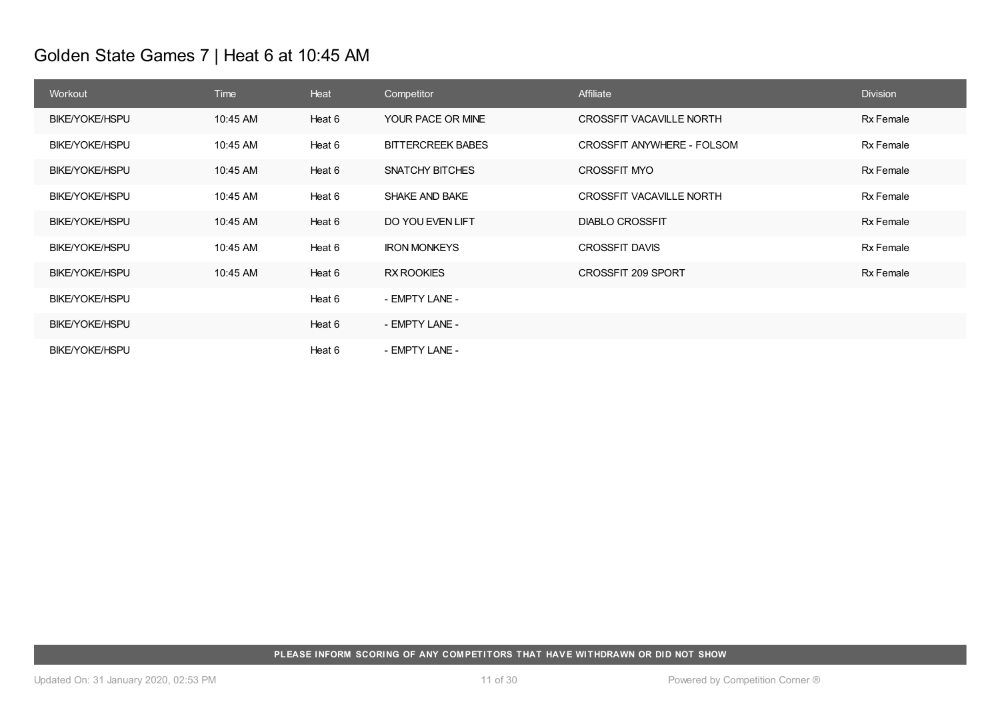# Golden State Games 7 | Heat 6 at 10:45 AM

| Workout               | <b>Time</b> | Heat   | Competitor               | Affiliate                       | <b>Division</b>  |
|-----------------------|-------------|--------|--------------------------|---------------------------------|------------------|
| <b>BIKE/YOKE/HSPU</b> | 10:45 AM    | Heat 6 | YOUR PACE OR MINE        | <b>CROSSFIT VACAVILLE NORTH</b> | <b>Rx Female</b> |
| BIKE/YOKE/HSPU        | 10:45 AM    | Heat 6 | <b>BITTERCREEK BABES</b> | CROSSFIT ANYWHERE - FOLSOM      | Rx Female        |
| <b>BIKE/YOKE/HSPU</b> | 10:45 AM    | Heat 6 | SNATCHY BITCHES          | <b>CROSSFIT MYO</b>             | Rx Female        |
| BIKE/YOKE/HSPU        | 10:45 AM    | Heat 6 | <b>SHAKE AND BAKE</b>    | <b>CROSSFIT VACAVILLE NORTH</b> | Rx Female        |
| <b>BIKE/YOKE/HSPU</b> | 10:45 AM    | Heat 6 | DO YOU EVEN LIFT         | <b>DIABLO CROSSFIT</b>          | Rx Female        |
| <b>BIKE/YOKE/HSPU</b> | 10:45 AM    | Heat 6 | <b>IRON MONKEYS</b>      | <b>CROSSFIT DAVIS</b>           | <b>Rx Female</b> |
| <b>BIKE/YOKE/HSPU</b> | 10:45 AM    | Heat 6 | <b>RX ROOKIES</b>        | CROSSFIT 209 SPORT              | Rx Female        |
| BIKE/YOKE/HSPU        |             | Heat 6 | - EMPTY LANE -           |                                 |                  |
| <b>BIKE/YOKE/HSPU</b> |             | Heat 6 | - EMPTY LANE -           |                                 |                  |
| BIKE/YOKE/HSPU        |             | Heat 6 | - EMPTY LANE -           |                                 |                  |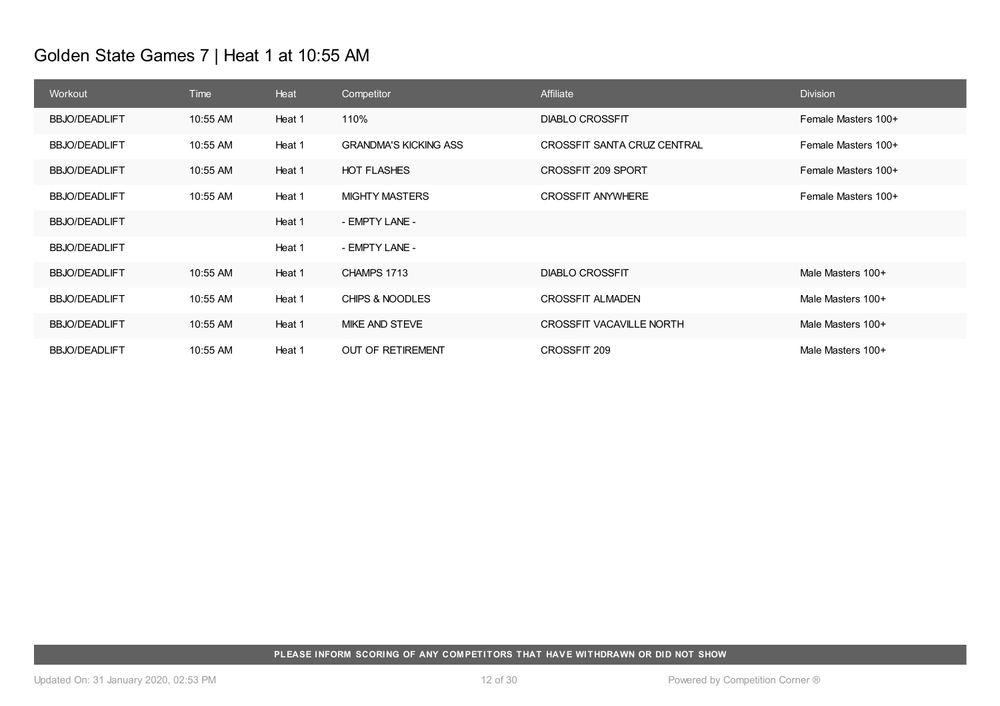# Golden State Games 7 | Heat 1 at 10:55 AM

| Workout              | <b>Time</b> | Heat   | Competitor                   | Affiliate                       | <b>Division</b>     |
|----------------------|-------------|--------|------------------------------|---------------------------------|---------------------|
| <b>BBJO/DEADLIFT</b> | 10:55 AM    | Heat 1 | 110%                         | <b>DIABLO CROSSFIT</b>          | Female Masters 100+ |
| <b>BBJO/DEADLIFT</b> | 10:55 AM    | Heat 1 | <b>GRANDMA'S KICKING ASS</b> | CROSSFIT SANTA CRUZ CENTRAL     | Female Masters 100+ |
| <b>BBJO/DEADLIFT</b> | 10:55 AM    | Heat 1 | <b>HOT FLASHES</b>           | CROSSFIT 209 SPORT              | Female Masters 100+ |
| <b>BBJO/DEADLIFT</b> | 10:55 AM    | Heat 1 | <b>MIGHTY MASTERS</b>        | <b>CROSSFIT ANYWHERE</b>        | Female Masters 100+ |
| <b>BBJO/DEADLIFT</b> |             | Heat 1 | - EMPTY LANE -               |                                 |                     |
| <b>BBJO/DEADLIFT</b> |             | Heat 1 | - EMPTY LANE -               |                                 |                     |
| <b>BBJO/DEADLIFT</b> | 10:55 AM    | Heat 1 | CHAMPS 1713                  | <b>DIABLO CROSSFIT</b>          | Male Masters 100+   |
| <b>BBJO/DEADLIFT</b> | 10:55 AM    | Heat 1 | CHIPS & NOODLES              | <b>CROSSFIT ALMADEN</b>         | Male Masters 100+   |
| <b>BBJO/DEADLIFT</b> | 10:55 AM    | Heat 1 | MIKE AND STEVE               | <b>CROSSFIT VACAVILLE NORTH</b> | Male Masters 100+   |
| <b>BBJO/DEADLIFT</b> | 10:55 AM    | Heat 1 | OUT OF RETIREMENT            | CROSSFIT 209                    | Male Masters 100+   |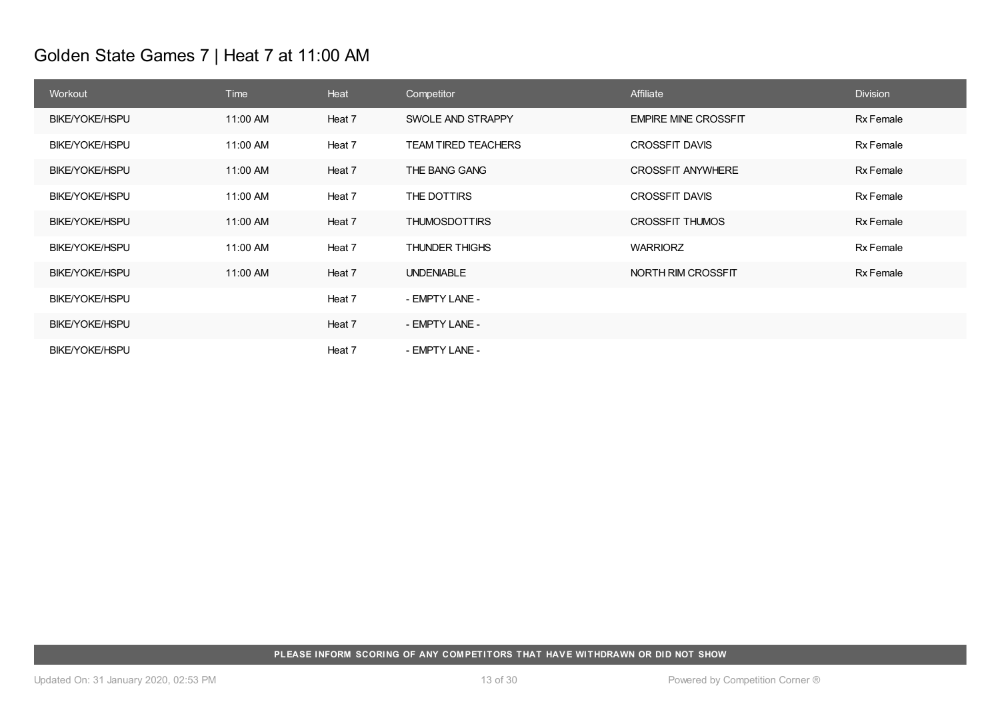# Golden State Games 7 | Heat 7 at 11:00 AM

| Workout               | <b>Time</b> | Heat   | Competitor                 | Affiliate                   | <b>Division</b>  |
|-----------------------|-------------|--------|----------------------------|-----------------------------|------------------|
| <b>BIKE/YOKE/HSPU</b> | 11:00 AM    | Heat 7 | SWOLE AND STRAPPY          | <b>EMPIRE MINE CROSSFIT</b> | <b>Rx Female</b> |
| BIKE/YOKE/HSPU        | 11:00 AM    | Heat 7 | <b>TEAM TIRED TEACHERS</b> | <b>CROSSFIT DAVIS</b>       | Rx Female        |
| <b>BIKE/YOKE/HSPU</b> | 11:00 AM    | Heat 7 | THE BANG GANG              | <b>CROSSFIT ANYWHERE</b>    | Rx Female        |
| BIKE/YOKE/HSPU        | 11:00 AM    | Heat 7 | THE DOTTIRS                | <b>CROSSFIT DAVIS</b>       | Rx Female        |
| <b>BIKE/YOKE/HSPU</b> | 11:00 AM    | Heat 7 | <b>THUMOSDOTTIRS</b>       | <b>CROSSFIT THUMOS</b>      | <b>Rx Female</b> |
| <b>BIKE/YOKE/HSPU</b> | 11:00 AM    | Heat 7 | <b>THUNDER THIGHS</b>      | <b>WARRIORZ</b>             | Rx Female        |
| <b>BIKE/YOKE/HSPU</b> | 11:00 AM    | Heat 7 | <b>UNDENIABLE</b>          | NORTH RIM CROSSFIT          | Rx Female        |
| <b>BIKE/YOKE/HSPU</b> |             | Heat 7 | - EMPTY LANE -             |                             |                  |
| <b>BIKE/YOKE/HSPU</b> |             | Heat 7 | - EMPTY LANE -             |                             |                  |
| <b>BIKE/YOKE/HSPU</b> |             | Heat 7 | - EMPTY LANE -             |                             |                  |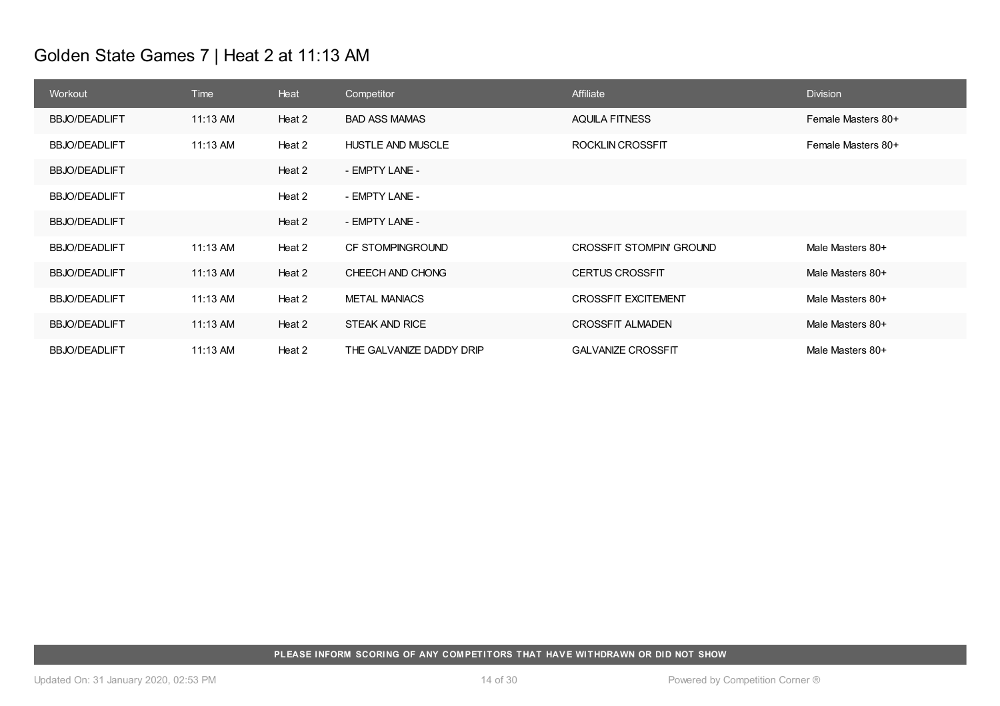# Golden State Games 7 | Heat 2 at 11:13 AM

| Workout              | Time     | Heat   | Competitor               | Affiliate                       | <b>Division</b>    |
|----------------------|----------|--------|--------------------------|---------------------------------|--------------------|
| <b>BBJO/DEADLIFT</b> | 11:13 AM | Heat 2 | <b>BAD ASS MAMAS</b>     | <b>AQUILA FITNESS</b>           | Female Masters 80+ |
| <b>BBJO/DEADLIFT</b> | 11:13 AM | Heat 2 | <b>HUSTLE AND MUSCLE</b> | ROCKLIN CROSSFIT                | Female Masters 80+ |
| <b>BBJO/DEADLIFT</b> |          | Heat 2 | - EMPTY LANE -           |                                 |                    |
| <b>BBJO/DEADLIFT</b> |          | Heat 2 | - EMPTY LANE -           |                                 |                    |
| <b>BBJO/DEADLIFT</b> |          | Heat 2 | - EMPTY LANE -           |                                 |                    |
| <b>BBJO/DEADLIFT</b> | 11:13 AM | Heat 2 | CF STOMPINGROUND         | <b>CROSSFIT STOMPIN' GROUND</b> | Male Masters 80+   |
| <b>BBJO/DEADLIFT</b> | 11:13 AM | Heat 2 | CHEECH AND CHONG         | <b>CERTUS CROSSFIT</b>          | Male Masters 80+   |
| <b>BBJO/DEADLIFT</b> | 11:13 AM | Heat 2 | <b>METAL MANIACS</b>     | <b>CROSSFIT EXCITEMENT</b>      | Male Masters 80+   |
| <b>BBJO/DEADLIFT</b> | 11:13 AM | Heat 2 | <b>STEAK AND RICE</b>    | <b>CROSSFIT ALMADEN</b>         | Male Masters 80+   |
| <b>BBJO/DEADLIFT</b> | 11:13 AM | Heat 2 | THE GALVANIZE DADDY DRIP | <b>GALVANIZE CROSSFIT</b>       | Male Masters 80+   |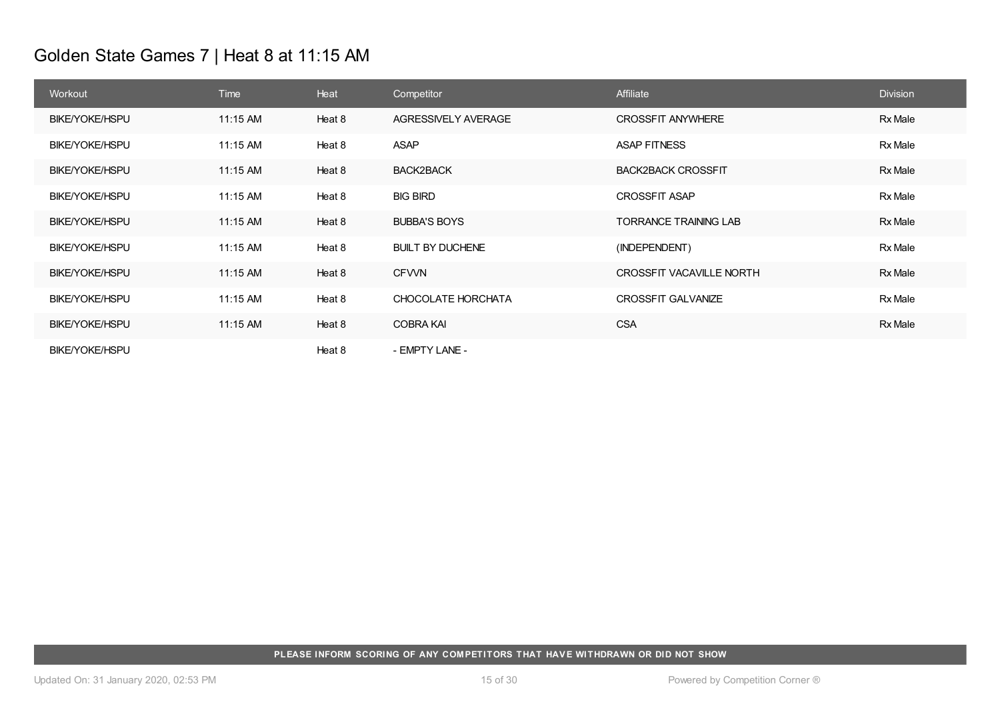# Golden State Games 7 | Heat 8 at 11:15 AM

| Workout               | Time     | Heat   | Competitor              | Affiliate                    | <b>Division</b> |
|-----------------------|----------|--------|-------------------------|------------------------------|-----------------|
| <b>BIKE/YOKE/HSPU</b> | 11:15 AM | Heat 8 | AGRESSIVELY AVERAGE     | <b>CROSSFIT ANYWHERE</b>     | <b>Rx Male</b>  |
| <b>BIKE/YOKE/HSPU</b> | 11:15 AM | Heat 8 | ASAP                    | <b>ASAP FITNESS</b>          | Rx Male         |
| <b>BIKE/YOKE/HSPU</b> | 11:15 AM | Heat 8 | <b>BACK2BACK</b>        | <b>BACK2BACK CROSSFIT</b>    | Rx Male         |
| BIKE/YOKE/HSPU        | 11:15 AM | Heat 8 | <b>BIG BIRD</b>         | <b>CROSSFIT ASAP</b>         | Rx Male         |
| <b>BIKE/YOKE/HSPU</b> | 11:15 AM | Heat 8 | <b>BUBBA'S BOYS</b>     | <b>TORRANCE TRAINING LAB</b> | Rx Male         |
| BIKE/YOKE/HSPU        | 11:15 AM | Heat 8 | <b>BUILT BY DUCHENE</b> | (INDEPENDENT)                | Rx Male         |
| <b>BIKE/YOKE/HSPU</b> | 11:15 AM | Heat 8 | <b>CFVVN</b>            | CROSSFIT VACAVILLE NORTH     | Rx Male         |
| BIKE/YOKE/HSPU        | 11:15 AM | Heat 8 | CHOCOLATE HORCHATA      | <b>CROSSFIT GALVANIZE</b>    | Rx Male         |
| <b>BIKE/YOKE/HSPU</b> | 11:15 AM | Heat 8 | <b>COBRA KAI</b>        | <b>CSA</b>                   | Rx Male         |
| <b>BIKE/YOKE/HSPU</b> |          | Heat 8 | - EMPTY LANE -          |                              |                 |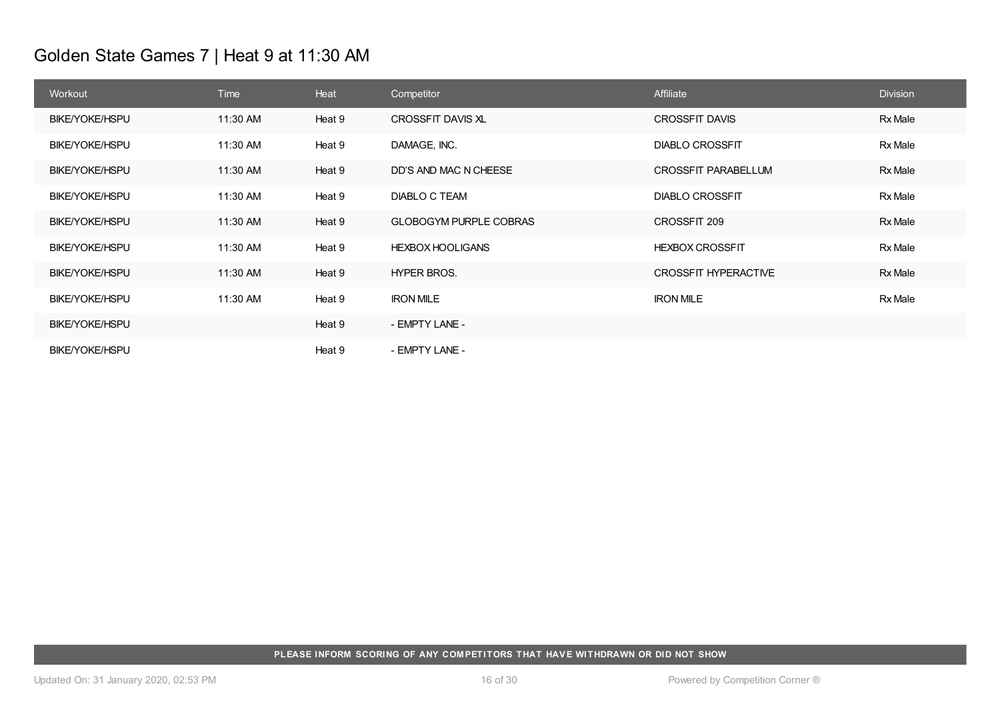# Golden State Games 7 | Heat 9 at 11:30 AM

| Workout               | Time     | Heat   | Competitor                    | Affiliate                   | <b>Division</b> |
|-----------------------|----------|--------|-------------------------------|-----------------------------|-----------------|
| <b>BIKE/YOKE/HSPU</b> | 11:30 AM | Heat 9 | CROSSFIT DAVIS XL             | <b>CROSSFIT DAVIS</b>       | Rx Male         |
| <b>BIKE/YOKE/HSPU</b> | 11:30 AM | Heat 9 | DAMAGE, INC.                  | <b>DIABLO CROSSFIT</b>      | Rx Male         |
| <b>BIKE/YOKE/HSPU</b> | 11:30 AM | Heat 9 | DD'S AND MAC N CHEESE         | CROSSFIT PARABELLUM         | Rx Male         |
| <b>BIKE/YOKE/HSPU</b> | 11:30 AM | Heat 9 | DIABLO C TEAM                 | <b>DIABLO CROSSFIT</b>      | Rx Male         |
| <b>BIKE/YOKE/HSPU</b> | 11:30 AM | Heat 9 | <b>GLOBOGYM PURPLE COBRAS</b> | CROSSFIT 209                | Rx Male         |
| <b>BIKE/YOKE/HSPU</b> | 11:30 AM | Heat 9 | <b>HEXBOX HOOLIGANS</b>       | <b>HEXBOX CROSSFIT</b>      | <b>Rx Male</b>  |
| <b>BIKE/YOKE/HSPU</b> | 11:30 AM | Heat 9 | HYPER BROS.                   | <b>CROSSFIT HYPERACTIVE</b> | Rx Male         |
| <b>BIKE/YOKE/HSPU</b> | 11:30 AM | Heat 9 | <b>IRON MILE</b>              | <b>IRON MILE</b>            | Rx Male         |
| <b>BIKE/YOKE/HSPU</b> |          | Heat 9 | - EMPTY LANE -                |                             |                 |
| <b>BIKE/YOKE/HSPU</b> |          | Heat 9 | - EMPTY LANE -                |                             |                 |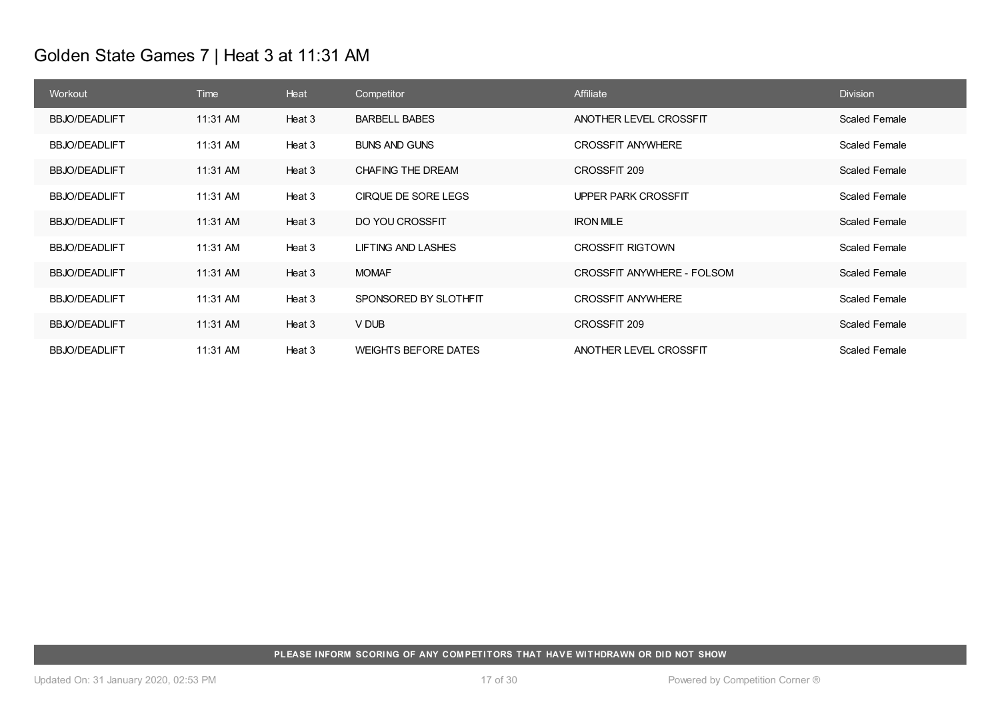# Golden State Games 7 | Heat 3 at 11:31 AM

| Workout              | Time     | Heat   | Competitor                  | Affiliate                  | <b>Division</b>      |
|----------------------|----------|--------|-----------------------------|----------------------------|----------------------|
| <b>BBJO/DEADLIFT</b> | 11:31 AM | Heat 3 | <b>BARBELL BABES</b>        | ANOTHER LEVEL CROSSFIT     | <b>Scaled Female</b> |
| <b>BBJO/DEADLIFT</b> | 11:31 AM | Heat 3 | <b>BUNS AND GUNS</b>        | <b>CROSSFIT ANYWHERE</b>   | Scaled Female        |
| <b>BBJO/DEADLIFT</b> | 11:31 AM | Heat 3 | CHAFING THE DREAM           | CROSSFIT 209               | <b>Scaled Female</b> |
| <b>BBJO/DEADLIFT</b> | 11:31 AM | Heat 3 | CIRQUE DE SORE LEGS         | UPPER PARK CROSSFIT        | Scaled Female        |
| <b>BBJO/DEADLIFT</b> | 11:31 AM | Heat 3 | DO YOU CROSSFIT             | <b>IRON MILE</b>           | <b>Scaled Female</b> |
| <b>BBJO/DEADLIFT</b> | 11:31 AM | Heat 3 | <b>LIFTING AND LASHES</b>   | <b>CROSSFIT RIGTOWN</b>    | <b>Scaled Female</b> |
| <b>BBJO/DEADLIFT</b> | 11:31 AM | Heat 3 | <b>MOMAF</b>                | CROSSFIT ANYWHERE - FOLSOM | <b>Scaled Female</b> |
| <b>BBJO/DEADLIFT</b> | 11:31 AM | Heat 3 | SPONSORED BY SLOTHFIT       | <b>CROSSFIT ANYWHERE</b>   | Scaled Female        |
| <b>BBJO/DEADLIFT</b> | 11:31 AM | Heat 3 | V DUB                       | CROSSFIT 209               | <b>Scaled Female</b> |
| <b>BBJO/DEADLIFT</b> | 11:31 AM | Heat 3 | <b>WEIGHTS BEFORE DATES</b> | ANOTHER LEVEL CROSSFIT     | <b>Scaled Female</b> |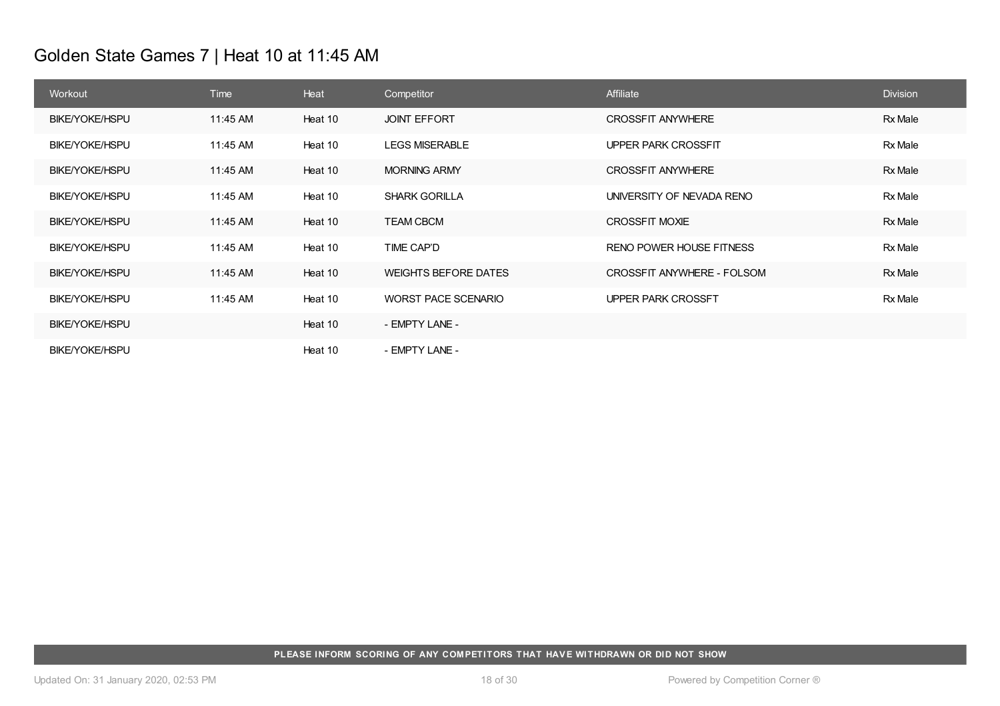# Golden State Games 7 | Heat 10 at 11:45 AM

| Workout               | Time     | Heat    | Competitor                  | Affiliate                  | <b>Division</b> |
|-----------------------|----------|---------|-----------------------------|----------------------------|-----------------|
| <b>BIKE/YOKE/HSPU</b> | 11:45 AM | Heat 10 | <b>JOINT EFFORT</b>         | <b>CROSSFIT ANYWHERE</b>   | <b>Rx Male</b>  |
| <b>BIKE/YOKE/HSPU</b> | 11:45 AM | Heat 10 | <b>LEGS MISERABLE</b>       | UPPER PARK CROSSFIT        | <b>Rx Male</b>  |
| <b>BIKE/YOKE/HSPU</b> | 11:45 AM | Heat 10 | <b>MORNING ARMY</b>         | <b>CROSSFIT ANYWHERE</b>   | <b>Rx Male</b>  |
| <b>BIKE/YOKE/HSPU</b> | 11:45 AM | Heat 10 | <b>SHARK GORILLA</b>        | UNIVERSITY OF NEVADA RENO  | Rx Male         |
| <b>BIKE/YOKE/HSPU</b> | 11:45 AM | Heat 10 | <b>TEAM CBCM</b>            | CROSSFIT MOXIE             | Rx Male         |
| <b>BIKE/YOKE/HSPU</b> | 11:45 AM | Heat 10 | TIME CAP'D                  | RENO POWER HOUSE FITNESS   | Rx Male         |
| <b>BIKE/YOKE/HSPU</b> | 11:45 AM | Heat 10 | <b>WEIGHTS BEFORE DATES</b> | CROSSFIT ANYWHERE - FOLSOM | Rx Male         |
| <b>BIKE/YOKE/HSPU</b> | 11:45 AM | Heat 10 | WORST PACE SCENARIO         | UPPER PARK CROSSFT         | Rx Male         |
| <b>BIKE/YOKE/HSPU</b> |          | Heat 10 | - EMPTY LANE -              |                            |                 |
| <b>BIKE/YOKE/HSPU</b> |          | Heat 10 | - EMPTY LANE -              |                            |                 |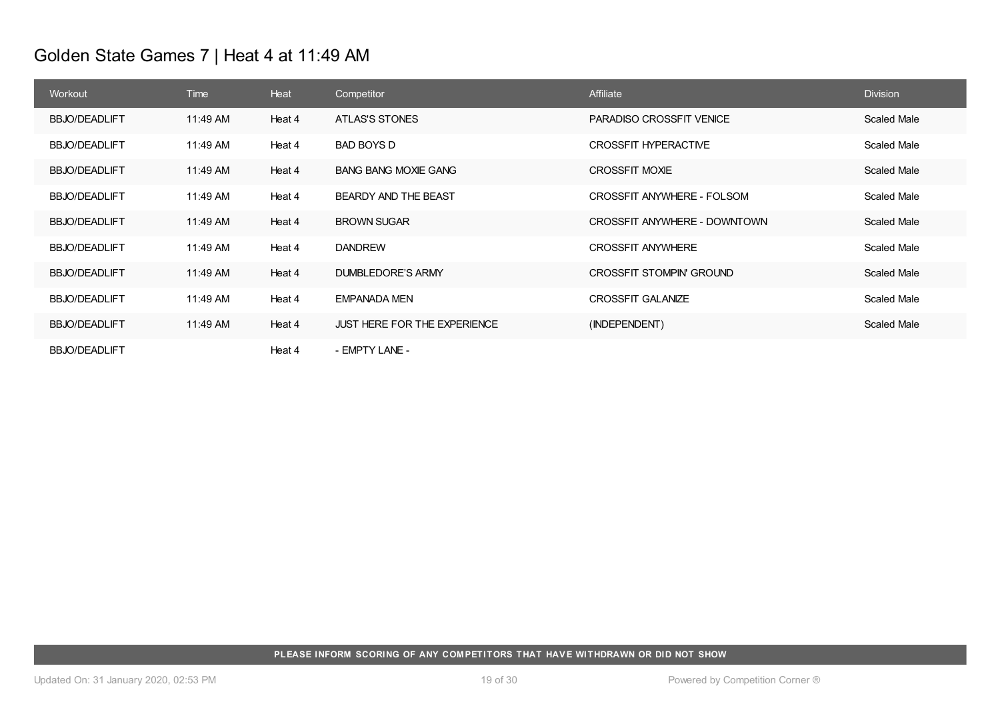# Golden State Games 7 | Heat 4 at 11:49 AM

| Workout              | Time     | Heat   | Competitor                          | Affiliate                       | <b>Division</b>    |
|----------------------|----------|--------|-------------------------------------|---------------------------------|--------------------|
| <b>BBJO/DEADLIFT</b> | 11:49 AM | Heat 4 | ATLAS'S STONES                      | <b>PARADISO CROSSFIT VENICE</b> | Scaled Male        |
| <b>BBJO/DEADLIFT</b> | 11:49 AM | Heat 4 | <b>BAD BOYS D</b>                   | CROSSFIT HYPERACTIVE            | Scaled Male        |
| <b>BBJO/DEADLIFT</b> | 11:49 AM | Heat 4 | <b>BANG BANG MOXIE GANG</b>         | CROSSFIT MOXIE                  | Scaled Male        |
| <b>BBJO/DEADLIFT</b> | 11:49 AM | Heat 4 | BEARDY AND THE BEAST                | CROSSFIT ANYWHERE - FOLSOM      | Scaled Male        |
| <b>BBJO/DEADLIFT</b> | 11:49 AM | Heat 4 | <b>BROWN SUGAR</b>                  | CROSSFIT ANYWHERE - DOWNTOWN    | <b>Scaled Male</b> |
| <b>BBJO/DEADLIFT</b> | 11:49 AM | Heat 4 | <b>DANDREW</b>                      | <b>CROSSFIT ANYWHERE</b>        | Scaled Male        |
| <b>BBJO/DEADLIFT</b> | 11:49 AM | Heat 4 | DUMBLEDORE'S ARMY                   | CROSSFIT STOMPIN' GROUND        | Scaled Male        |
| <b>BBJO/DEADLIFT</b> | 11:49 AM | Heat 4 | <b>EMPANADA MEN</b>                 | <b>CROSSFIT GALANIZE</b>        | Scaled Male        |
| <b>BBJO/DEADLIFT</b> | 11:49 AM | Heat 4 | <b>JUST HERE FOR THE EXPERIENCE</b> | (INDEPENDENT)                   | Scaled Male        |
| <b>BBJO/DEADLIFT</b> |          | Heat 4 | - EMPTY LANE -                      |                                 |                    |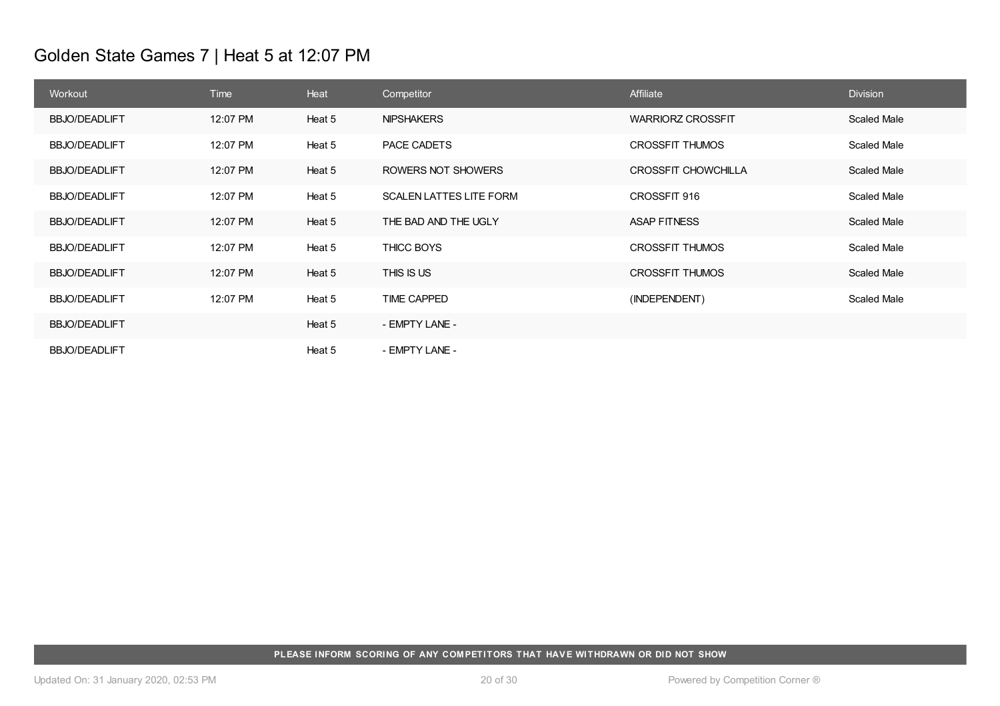# Golden State Games 7 | Heat 5 at 12:07 PM

| Workout              | Time     | Heat   | Competitor                     | Affiliate                  | <b>Division</b>    |
|----------------------|----------|--------|--------------------------------|----------------------------|--------------------|
| <b>BBJO/DEADLIFT</b> | 12:07 PM | Heat 5 | <b>NIPSHAKERS</b>              | <b>WARRIORZ CROSSFIT</b>   | <b>Scaled Male</b> |
| <b>BBJO/DEADLIFT</b> | 12:07 PM | Heat 5 | PACE CADETS                    | <b>CROSSFIT THUMOS</b>     | Scaled Male        |
| <b>BBJO/DEADLIFT</b> | 12:07 PM | Heat 5 | ROWERS NOT SHOWERS             | <b>CROSSFIT CHOWCHILLA</b> | Scaled Male        |
| <b>BBJO/DEADLIFT</b> | 12:07 PM | Heat 5 | <b>SCALEN LATTES LITE FORM</b> | CROSSFIT 916               | Scaled Male        |
| <b>BBJO/DEADLIFT</b> | 12:07 PM | Heat 5 | THE BAD AND THE UGLY           | <b>ASAP FITNESS</b>        | Scaled Male        |
| <b>BBJO/DEADLIFT</b> | 12:07 PM | Heat 5 | THICC BOYS                     | <b>CROSSFIT THUMOS</b>     | Scaled Male        |
| <b>BBJO/DEADLIFT</b> | 12:07 PM | Heat 5 | THIS IS US                     | <b>CROSSFIT THUMOS</b>     | Scaled Male        |
| <b>BBJO/DEADLIFT</b> | 12:07 PM | Heat 5 | <b>TIME CAPPED</b>             | (INDEPENDENT)              | Scaled Male        |
| <b>BBJO/DEADLIFT</b> |          | Heat 5 | - EMPTY LANE -                 |                            |                    |
| <b>BBJO/DEADLIFT</b> |          | Heat 5 | - EMPTY LANE -                 |                            |                    |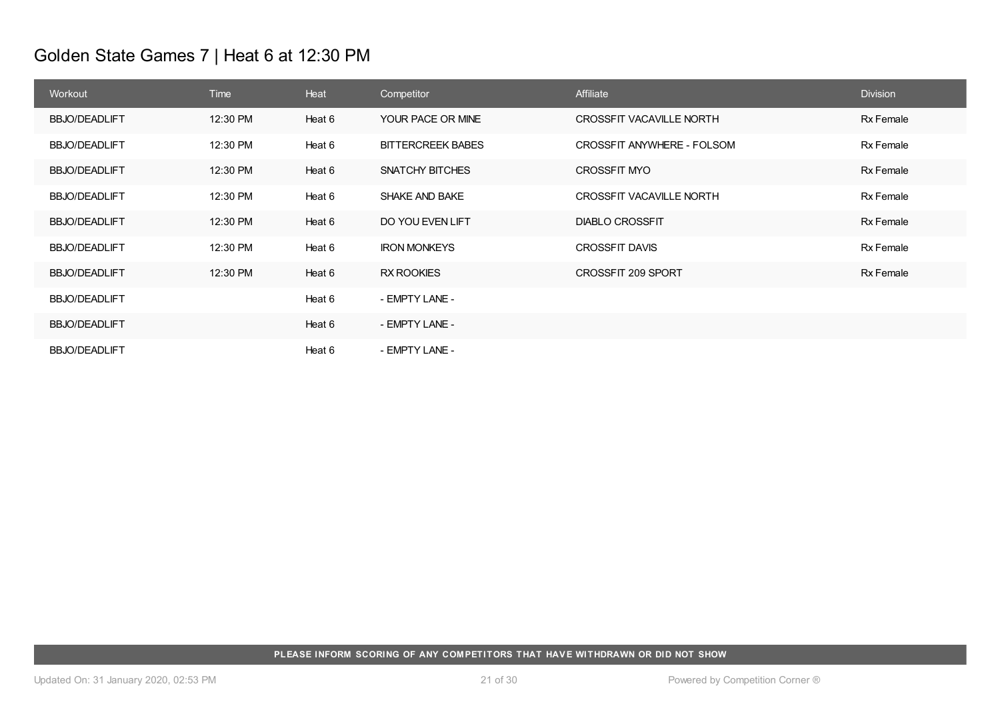# Golden State Games 7 | Heat 6 at 12:30 PM

| Workout              | Time     | Heat   | Competitor               | Affiliate                  | <b>Division</b> |
|----------------------|----------|--------|--------------------------|----------------------------|-----------------|
| <b>BBJO/DEADLIFT</b> | 12:30 PM | Heat 6 | YOUR PACE OR MINE        | CROSSFIT VACAVILLE NORTH   | Rx Female       |
| <b>BBJO/DEADLIFT</b> | 12:30 PM | Heat 6 | <b>BITTERCREEK BABES</b> | CROSSFIT ANYWHERE - FOLSOM | Rx Female       |
| <b>BBJO/DEADLIFT</b> | 12:30 PM | Heat 6 | SNATCHY BITCHES          | <b>CROSSFIT MYO</b>        | Rx Female       |
| <b>BBJO/DEADLIFT</b> | 12:30 PM | Heat 6 | <b>SHAKE AND BAKE</b>    | CROSSFIT VACAVILLE NORTH   | Rx Female       |
| <b>BBJO/DEADLIFT</b> | 12:30 PM | Heat 6 | DO YOU EVEN LIFT         | <b>DIABLO CROSSFIT</b>     | Rx Female       |
| <b>BBJO/DEADLIFT</b> | 12:30 PM | Heat 6 | <b>IRON MONKEYS</b>      | <b>CROSSFIT DAVIS</b>      | Rx Female       |
| <b>BBJO/DEADLIFT</b> | 12:30 PM | Heat 6 | <b>RX ROOKIES</b>        | <b>CROSSFIT 209 SPORT</b>  | Rx Female       |
| <b>BBJO/DEADLIFT</b> |          | Heat 6 | - EMPTY LANE -           |                            |                 |
| <b>BBJO/DEADLIFT</b> |          | Heat 6 | - EMPTY LANE -           |                            |                 |
| <b>BBJO/DEADLIFT</b> |          | Heat 6 | - EMPTY LANE -           |                            |                 |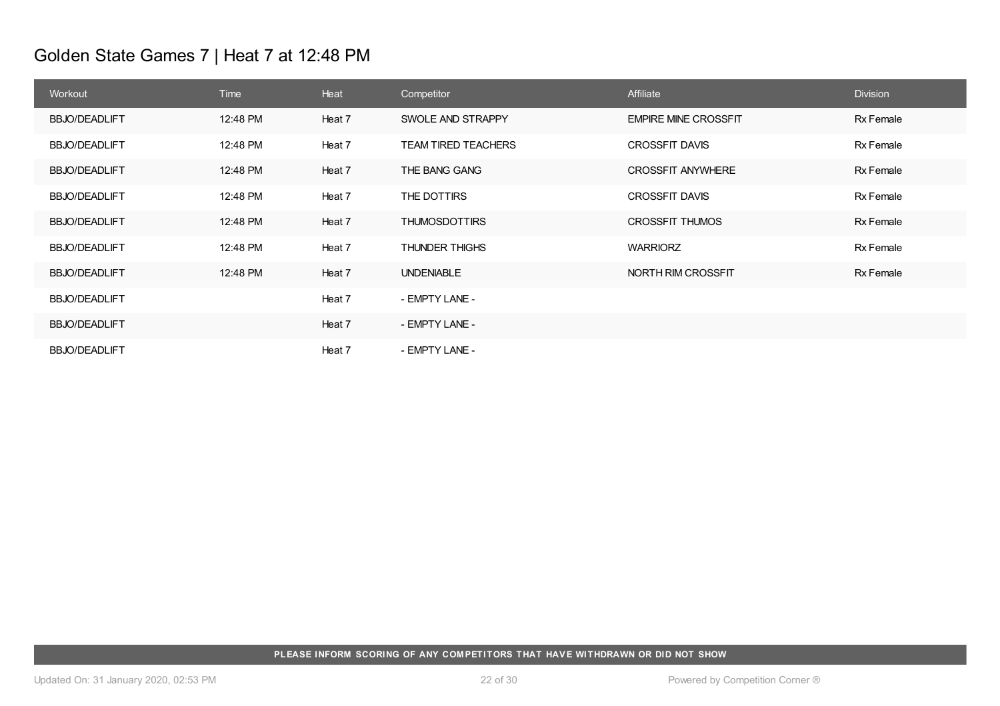# Golden State Games 7 | Heat 7 at 12:48 PM

| Workout              | <b>Time</b> | Heat   | Competitor                 | Affiliate                   | <b>Division</b> |
|----------------------|-------------|--------|----------------------------|-----------------------------|-----------------|
| <b>BBJO/DEADLIFT</b> | 12:48 PM    | Heat 7 | SWOLE AND STRAPPY          | <b>EMPIRE MINE CROSSFIT</b> | Rx Female       |
| <b>BBJO/DEADLIFT</b> | 12:48 PM    | Heat 7 | <b>TEAM TIRED TEACHERS</b> | <b>CROSSFIT DAVIS</b>       | Rx Female       |
| <b>BBJO/DEADLIFT</b> | 12:48 PM    | Heat 7 | THE BANG GANG              | <b>CROSSFIT ANYWHERE</b>    | Rx Female       |
| <b>BBJO/DEADLIFT</b> | 12:48 PM    | Heat 7 | THE DOTTIRS                | <b>CROSSFIT DAVIS</b>       | Rx Female       |
| <b>BBJO/DEADLIFT</b> | 12:48 PM    | Heat 7 | <b>THUMOSDOTTIRS</b>       | <b>CROSSFIT THUMOS</b>      | Rx Female       |
| <b>BBJO/DEADLIFT</b> | 12:48 PM    | Heat 7 | <b>THUNDER THIGHS</b>      | <b>WARRIORZ</b>             | Rx Female       |
| <b>BBJO/DEADLIFT</b> | 12:48 PM    | Heat 7 | <b>UNDENIABLE</b>          | NORTH RIM CROSSFIT          | Rx Female       |
| <b>BBJO/DEADLIFT</b> |             | Heat 7 | - EMPTY LANE -             |                             |                 |
| <b>BBJO/DEADLIFT</b> |             | Heat 7 | - EMPTY LANE -             |                             |                 |
| <b>BBJO/DEADLIFT</b> |             | Heat 7 | - EMPTY LANE -             |                             |                 |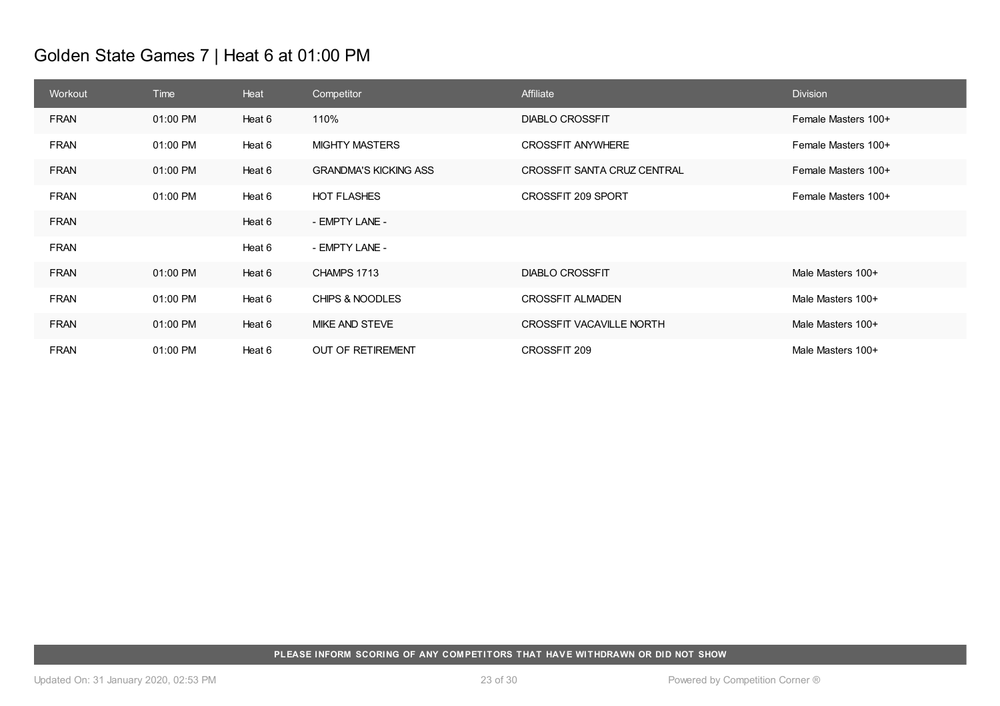# Golden State Games 7 | Heat 6 at 01:00 PM

| Workout     | Time     | Heat   | Competitor                   | Affiliate                   | <b>Division</b>     |
|-------------|----------|--------|------------------------------|-----------------------------|---------------------|
| <b>FRAN</b> | 01:00 PM | Heat 6 | 110%                         | <b>DIABLO CROSSFIT</b>      | Female Masters 100+ |
| <b>FRAN</b> | 01:00 PM | Heat 6 | <b>MIGHTY MASTERS</b>        | <b>CROSSFIT ANYWHERE</b>    | Female Masters 100+ |
| <b>FRAN</b> | 01:00 PM | Heat 6 | <b>GRANDMA'S KICKING ASS</b> | CROSSFIT SANTA CRUZ CENTRAL | Female Masters 100+ |
| <b>FRAN</b> | 01:00 PM | Heat 6 | <b>HOT FLASHES</b>           | CROSSFIT 209 SPORT          | Female Masters 100+ |
| <b>FRAN</b> |          | Heat 6 | - EMPTY LANE -               |                             |                     |
| <b>FRAN</b> |          | Heat 6 | - EMPTY LANE -               |                             |                     |
| <b>FRAN</b> | 01:00 PM | Heat 6 | CHAMPS 1713                  | <b>DIABLO CROSSFIT</b>      | Male Masters 100+   |
| <b>FRAN</b> | 01:00 PM | Heat 6 | CHIPS & NOODLES              | <b>CROSSFIT ALMADEN</b>     | Male Masters 100+   |
| <b>FRAN</b> | 01:00 PM | Heat 6 | MIKE AND STEVE               | CROSSFIT VACAVILLE NORTH    | Male Masters 100+   |
| <b>FRAN</b> | 01:00 PM | Heat 6 | OUT OF RETIREMENT            | CROSSFIT 209                | Male Masters 100+   |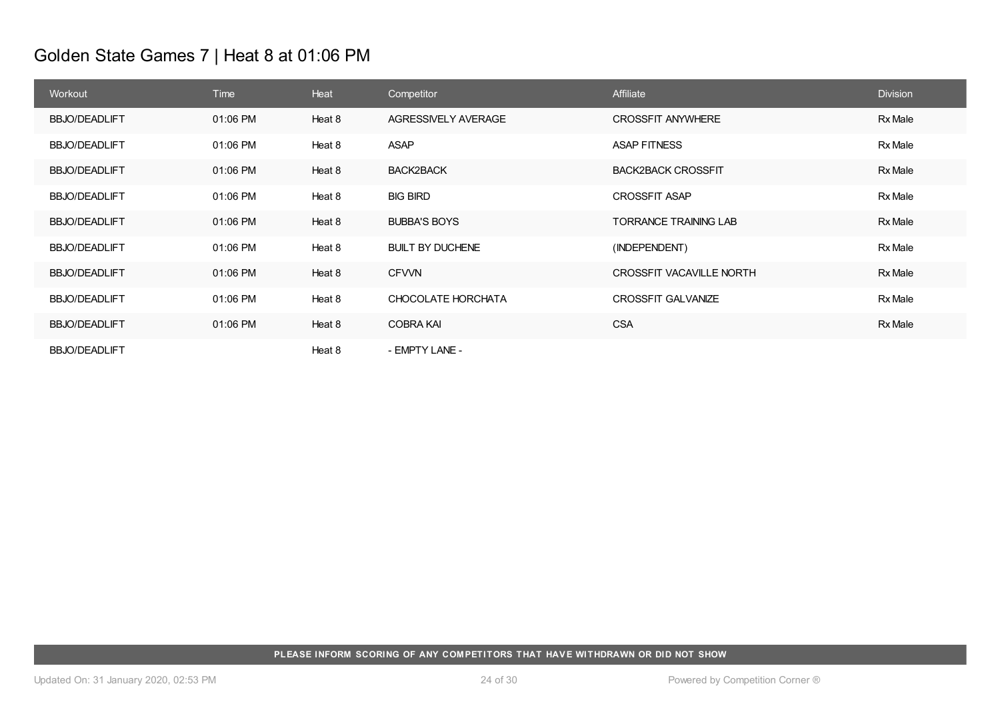# Golden State Games 7 | Heat 8 at 01:06 PM

| Workout              | Time     | Heat   | Competitor              | Affiliate                       | <b>Division</b> |
|----------------------|----------|--------|-------------------------|---------------------------------|-----------------|
| <b>BBJO/DEADLIFT</b> | 01:06 PM | Heat 8 | AGRESSIVELY AVERAGE     | <b>CROSSFIT ANYWHERE</b>        | Rx Male         |
| <b>BBJO/DEADLIFT</b> | 01:06 PM | Heat 8 | ASAP                    | <b>ASAP FITNESS</b>             | Rx Male         |
| <b>BBJO/DEADLIFT</b> | 01:06 PM | Heat 8 | <b>BACK2BACK</b>        | <b>BACK2BACK CROSSFIT</b>       | Rx Male         |
| <b>BBJO/DEADLIFT</b> | 01:06 PM | Heat 8 | <b>BIG BIRD</b>         | <b>CROSSFIT ASAP</b>            | Rx Male         |
| <b>BBJO/DEADLIFT</b> | 01:06 PM | Heat 8 | <b>BUBBA'S BOYS</b>     | <b>TORRANCE TRAINING LAB</b>    | Rx Male         |
| <b>BBJO/DEADLIFT</b> | 01:06 PM | Heat 8 | <b>BUILT BY DUCHENE</b> | (INDEPENDENT)                   | Rx Male         |
| <b>BBJO/DEADLIFT</b> | 01:06 PM | Heat 8 | <b>CFVVN</b>            | <b>CROSSFIT VACAVILLE NORTH</b> | Rx Male         |
| <b>BBJO/DEADLIFT</b> | 01:06 PM | Heat 8 | CHOCOLATE HORCHATA      | <b>CROSSFIT GALVANIZE</b>       | Rx Male         |
| <b>BBJO/DEADLIFT</b> | 01:06 PM | Heat 8 | <b>COBRA KAI</b>        | <b>CSA</b>                      | Rx Male         |
| <b>BBJO/DEADLIFT</b> |          | Heat 8 | - EMPTY LANE -          |                                 |                 |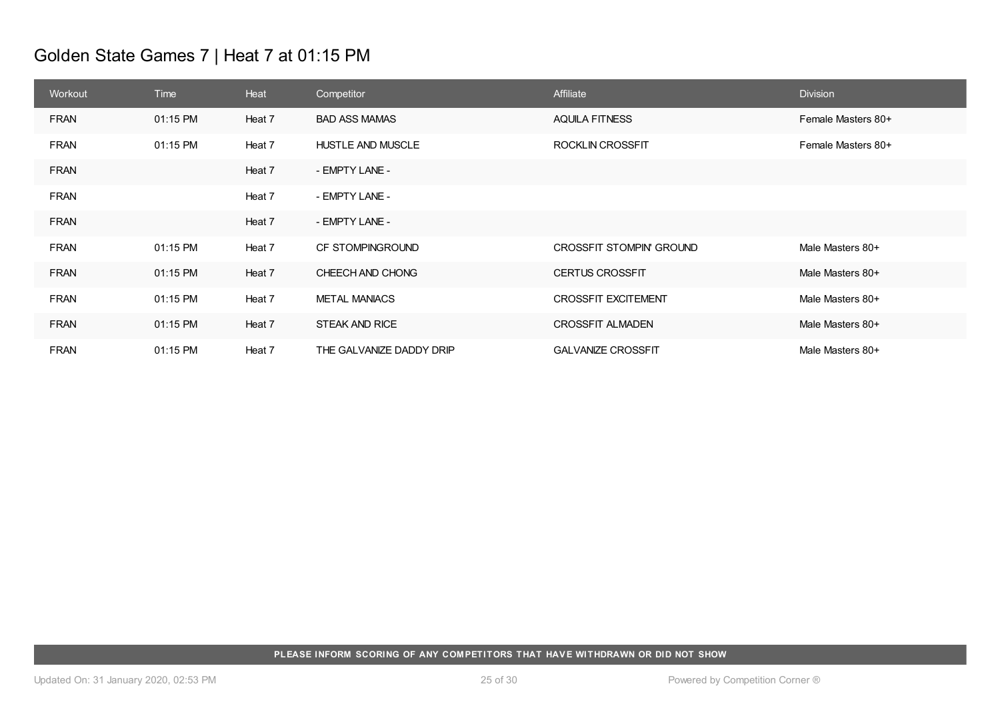# Golden State Games 7 | Heat 7 at 01:15 PM

| Workout     | Time     | Heat   | Competitor               | Affiliate                  | <b>Division</b>    |
|-------------|----------|--------|--------------------------|----------------------------|--------------------|
| <b>FRAN</b> | 01:15 PM | Heat 7 | <b>BAD ASS MAMAS</b>     | <b>AQUILA FITNESS</b>      | Female Masters 80+ |
| <b>FRAN</b> | 01:15 PM | Heat 7 | <b>HUSTLE AND MUSCLE</b> | <b>ROCKLIN CROSSFIT</b>    | Female Masters 80+ |
| <b>FRAN</b> |          | Heat 7 | - EMPTY LANE -           |                            |                    |
| <b>FRAN</b> |          | Heat 7 | - EMPTY LANE -           |                            |                    |
| <b>FRAN</b> |          | Heat 7 | - EMPTY LANE -           |                            |                    |
| <b>FRAN</b> | 01:15 PM | Heat 7 | CF STOMPINGROUND         | CROSSFIT STOMPIN' GROUND   | Male Masters 80+   |
| <b>FRAN</b> | 01:15 PM | Heat 7 | CHEECH AND CHONG         | <b>CERTUS CROSSFIT</b>     | Male Masters 80+   |
| <b>FRAN</b> | 01:15 PM | Heat 7 | <b>METAL MANIACS</b>     | <b>CROSSFIT EXCITEMENT</b> | Male Masters 80+   |
| <b>FRAN</b> | 01:15 PM | Heat 7 | <b>STEAK AND RICE</b>    | <b>CROSSFIT ALMADEN</b>    | Male Masters 80+   |
| <b>FRAN</b> | 01:15 PM | Heat 7 | THE GALVANIZE DADDY DRIP | <b>GALVANIZE CROSSFIT</b>  | Male Masters 80+   |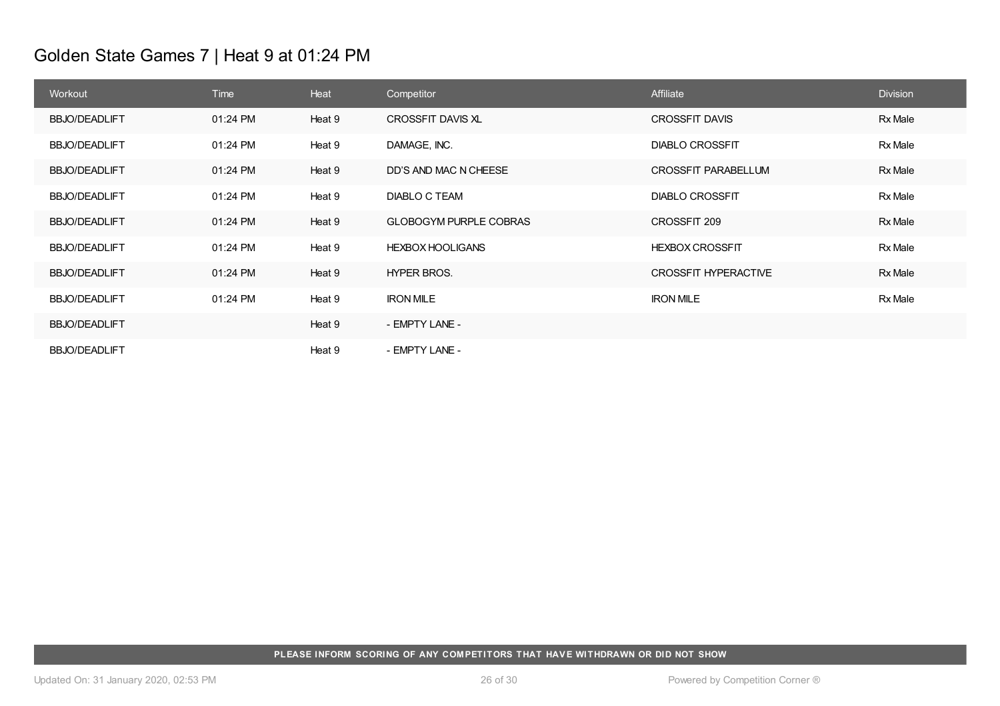# Golden State Games 7 | Heat 9 at 01:24 PM

| Workout              | <b>Time</b> | Heat   | Competitor                    | Affiliate                   | <b>Division</b> |
|----------------------|-------------|--------|-------------------------------|-----------------------------|-----------------|
| <b>BBJO/DEADLIFT</b> | 01:24 PM    | Heat 9 | CROSSFIT DAVIS XL             | <b>CROSSFIT DAVIS</b>       | Rx Male         |
| <b>BBJO/DEADLIFT</b> | 01:24 PM    | Heat 9 | DAMAGE, INC.                  | <b>DIABLO CROSSFIT</b>      | Rx Male         |
| <b>BBJO/DEADLIFT</b> | 01:24 PM    | Heat 9 | DD'S AND MAC N CHEESE         | <b>CROSSFIT PARABELLUM</b>  | Rx Male         |
| <b>BBJO/DEADLIFT</b> | 01:24 PM    | Heat 9 | <b>DIABLO C TEAM</b>          | <b>DIABLO CROSSFIT</b>      | Rx Male         |
| <b>BBJO/DEADLIFT</b> | 01:24 PM    | Heat 9 | <b>GLOBOGYM PURPLE COBRAS</b> | CROSSFIT 209                | Rx Male         |
| <b>BBJO/DEADLIFT</b> | 01:24 PM    | Heat 9 | <b>HEXBOX HOOLIGANS</b>       | <b>HEXBOX CROSSFIT</b>      | Rx Male         |
| <b>BBJO/DEADLIFT</b> | 01:24 PM    | Heat 9 | <b>HYPER BROS.</b>            | <b>CROSSFIT HYPERACTIVE</b> | Rx Male         |
| <b>BBJO/DEADLIFT</b> | 01:24 PM    | Heat 9 | <b>IRON MILE</b>              | <b>IRON MILE</b>            | Rx Male         |
| <b>BBJO/DEADLIFT</b> |             | Heat 9 | - EMPTY LANE -                |                             |                 |
| <b>BBJO/DEADLIFT</b> |             | Heat 9 | - EMPTY LANE -                |                             |                 |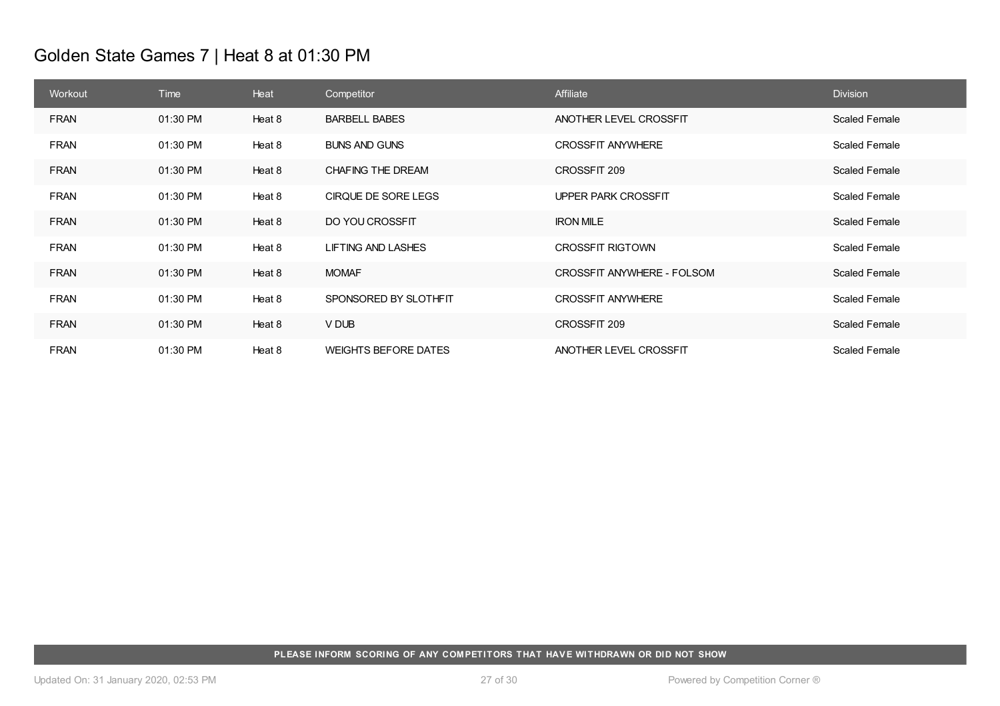# Golden State Games 7 | Heat 8 at 01:30 PM

| Workout     | Time     | Heat   | Competitor                  | Affiliate                  | <b>Division</b>      |
|-------------|----------|--------|-----------------------------|----------------------------|----------------------|
| <b>FRAN</b> | 01:30 PM | Heat 8 | <b>BARBELL BABES</b>        | ANOTHER LEVEL CROSSFIT     | Scaled Female        |
| <b>FRAN</b> | 01:30 PM | Heat 8 | <b>BUNS AND GUNS</b>        | <b>CROSSFIT ANYWHERE</b>   | <b>Scaled Female</b> |
| <b>FRAN</b> | 01:30 PM | Heat 8 | CHAFING THE DREAM           | CROSSFIT 209               | <b>Scaled Female</b> |
| <b>FRAN</b> | 01:30 PM | Heat 8 | CIRQUE DE SORE LEGS         | <b>UPPER PARK CROSSFIT</b> | <b>Scaled Female</b> |
| <b>FRAN</b> | 01:30 PM | Heat 8 | DO YOU CROSSFIT             | <b>IRON MILE</b>           | <b>Scaled Female</b> |
| <b>FRAN</b> | 01:30 PM | Heat 8 | <b>LIFTING AND LASHES</b>   | <b>CROSSFIT RIGTOWN</b>    | <b>Scaled Female</b> |
| <b>FRAN</b> | 01:30 PM | Heat 8 | <b>MOMAF</b>                | CROSSFIT ANYWHERE - FOLSOM | <b>Scaled Female</b> |
| <b>FRAN</b> | 01:30 PM | Heat 8 | SPONSORED BY SLOTHFIT       | <b>CROSSFIT ANYWHERE</b>   | <b>Scaled Female</b> |
| <b>FRAN</b> | 01:30 PM | Heat 8 | V DUB                       | CROSSFIT 209               | <b>Scaled Female</b> |
| <b>FRAN</b> | 01:30 PM | Heat 8 | <b>WEIGHTS BEFORE DATES</b> | ANOTHER LEVEL CROSSFIT     | <b>Scaled Female</b> |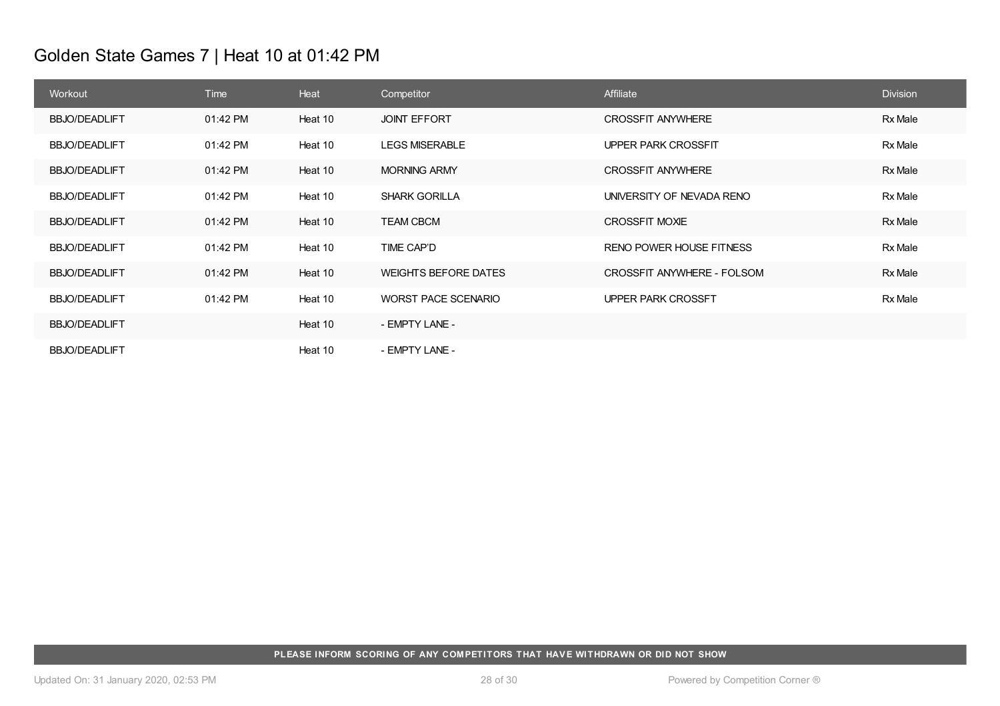# Golden State Games 7 | Heat 10 at 01:42 PM

| Workout              | <b>Time</b> | Heat    | Competitor                  | Affiliate                       | <b>Division</b> |
|----------------------|-------------|---------|-----------------------------|---------------------------------|-----------------|
| <b>BBJO/DEADLIFT</b> | 01:42 PM    | Heat 10 | <b>JOINT EFFORT</b>         | <b>CROSSFIT ANYWHERE</b>        | Rx Male         |
| <b>BBJO/DEADLIFT</b> | 01:42 PM    | Heat 10 | <b>LEGS MISERABLE</b>       | <b>UPPER PARK CROSSFIT</b>      | Rx Male         |
| <b>BBJO/DEADLIFT</b> | 01:42 PM    | Heat 10 | <b>MORNING ARMY</b>         | <b>CROSSFIT ANYWHERE</b>        | Rx Male         |
| <b>BBJO/DEADLIFT</b> | 01:42 PM    | Heat 10 | <b>SHARK GORILLA</b>        | UNIVERSITY OF NEVADA RENO       | Rx Male         |
| <b>BBJO/DEADLIFT</b> | 01:42 PM    | Heat 10 | <b>TEAM CBCM</b>            | CROSSFIT MOXIE                  | Rx Male         |
| <b>BBJO/DEADLIFT</b> | 01:42 PM    | Heat 10 | TIME CAP'D                  | <b>RENO POWER HOUSE FITNESS</b> | Rx Male         |
| <b>BBJO/DEADLIFT</b> | 01:42 PM    | Heat 10 | <b>WEIGHTS BEFORE DATES</b> | CROSSFIT ANYWHERE - FOLSOM      | Rx Male         |
| <b>BBJO/DEADLIFT</b> | 01:42 PM    | Heat 10 | WORST PACE SCENARIO         | UPPER PARK CROSSFT              | Rx Male         |
| <b>BBJO/DEADLIFT</b> |             | Heat 10 | - EMPTY LANE -              |                                 |                 |
| <b>BBJO/DEADLIFT</b> |             | Heat 10 | - EMPTY LANE -              |                                 |                 |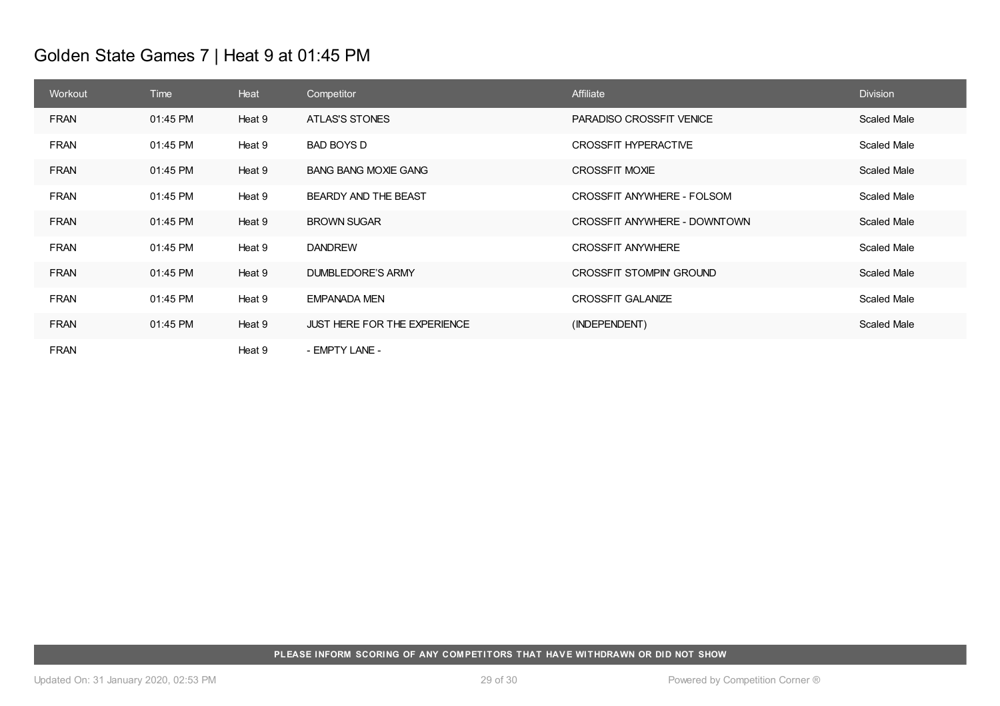# Golden State Games 7 | Heat 9 at 01:45 PM

| Workout     | Time     | Heat   | Competitor                          | Affiliate                    | <b>Division</b> |
|-------------|----------|--------|-------------------------------------|------------------------------|-----------------|
| <b>FRAN</b> | 01:45 PM | Heat 9 | ATLAS'S STONES                      | PARADISO CROSSFIT VENICE     | Scaled Male     |
| <b>FRAN</b> | 01:45 PM | Heat 9 | BAD BOYS D                          | CROSSFIT HYPERACTIVE         | Scaled Male     |
| <b>FRAN</b> | 01:45 PM | Heat 9 | <b>BANG BANG MOXIE GANG</b>         | <b>CROSSFIT MOXIE</b>        | Scaled Male     |
| <b>FRAN</b> | 01:45 PM | Heat 9 | BEARDY AND THE BEAST                | CROSSFIT ANYWHERE - FOLSOM   | Scaled Male     |
| <b>FRAN</b> | 01:45 PM | Heat 9 | <b>BROWN SUGAR</b>                  | CROSSFIT ANYWHERE - DOWNTOWN | Scaled Male     |
| <b>FRAN</b> | 01:45 PM | Heat 9 | <b>DANDREW</b>                      | <b>CROSSFIT ANYWHERE</b>     | Scaled Male     |
| <b>FRAN</b> | 01:45 PM | Heat 9 | DUMBLEDORE'S ARMY                   | CROSSFIT STOMPIN' GROUND     | Scaled Male     |
| <b>FRAN</b> | 01:45 PM | Heat 9 | EMPANADA MEN                        | <b>CROSSFIT GALANIZE</b>     | Scaled Male     |
| <b>FRAN</b> | 01:45 PM | Heat 9 | <b>JUST HERE FOR THE EXPERIENCE</b> | (INDEPENDENT)                | Scaled Male     |
| <b>FRAN</b> |          | Heat 9 | - EMPTY LANE -                      |                              |                 |